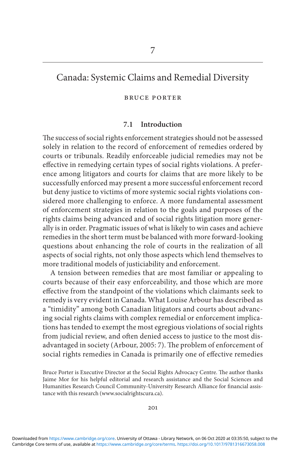# Canada: Systemic Claims and Remedial Diversity

#### BRUCE PORTER

## **7.1 Introduction**

The success of social rights enforcement strategies should not be assessed solely in relation to the record of enforcement of remedies ordered by courts or tribunals. Readily enforceable judicial remedies may not be effective in remedying certain types of social rights violations. A preference among litigators and courts for claims that are more likely to be successfully enforced may present a more successful enforcement record but deny justice to victims of more systemic social rights violations considered more challenging to enforce. A more fundamental assessment of enforcement strategies in relation to the goals and purposes of the rights claims being advanced and of social rights litigation more generally is in order. Pragmatic issues of what is likely to win cases and achieve remedies in the short term must be balanced with more forward-looking questions about enhancing the role of courts in the realization of all aspects of social rights, not only those aspects which lend themselves to more traditional models of justiciability and enforcement.

 A tension between remedies that are most familiar or appealing to courts because of their easy enforceability, and those which are more effective from the standpoint of the violations which claimants seek to remedy is very evident in Canada. What Louise Arbour has described as a "timidity" among both Canadian litigators and courts about advancing social rights claims with complex remedial or enforcement implications has tended to exempt the most egregious violations of social rights from judicial review, and often denied access to justice to the most disadvantaged in society (Arbour, 2005: 7). The problem of enforcement of social rights remedies in Canada is primarily one of effective remedies

Bruce Porter is Executive Director at the Social Rights Advocacy Centre. The author thanks Jaime Mor for his helpful editorial and research assistance and the Social Sciences and Humanities Research Council Community-University Research Alliance for financial assistance with this research (www.socialrightscura.ca).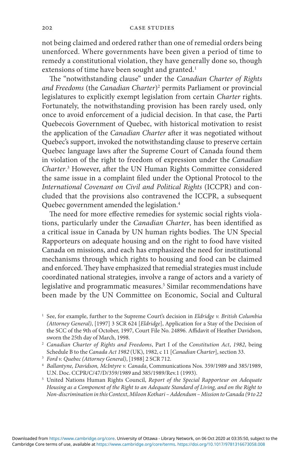not being claimed and ordered rather than one of remedial orders being unenforced. Where governments have been given a period of time to remedy a constitutional violation, they have generally done so, though extensions of time have been sought and granted.<sup>1</sup>

The "notwithstanding clause" under the *Canadian Charter of Rights* and Freedoms (the *Canadian Charter*)<sup>2</sup> permits Parliament or provincial legislatures to explicitly exempt legislation from certain *Charter* rights. Fortunately, the notwithstanding provision has been rarely used, only once to avoid enforcement of a judicial decision. In that case, the Parti Quebecois Government of Quebec, with historical motivation to resist the application of the *Canadian Charter* after it was negotiated without Quebec's support, invoked the notwithstanding clause to preserve certain Quebec language laws after the Supreme Court of Canada found them in violation of the right to freedom of expression under the *Canadian*  Charter.<sup>3</sup> However, after the UN Human Rights Committee considered the same issue in a complaint filed under the Optional Protocol to the *International Covenant on Civil and Political Rights* (ICCPR) and concluded that the provisions also contravened the ICCPR, a subsequent Quebec government amended the legislation. 4

The need for more effective remedies for systemic social rights violations, particularly under the *Canadian Charter*, has been identified as a critical issue in Canada by UN human rights bodies. The UN Special Rapporteurs on adequate housing and on the right to food have visited Canada on missions, and each has emphasized the need for institutional mechanisms through which rights to housing and food can be claimed and enforced. They have emphasized that remedial strategies must include coordinated national strategies, involve a range of actors and a variety of legislative and programmatic measures.<sup>5</sup> Similar recommendations have been made by the UN Committee on Economic, Social and Cultural

- <sup>3</sup> Ford v. Quebec (Attorney General), [1988] 2 SCR 712.
- <sup>4</sup> Ballantyne, Davidson, McIntyre v. Canada, Communications Nos. 359/1989 and 385/1989, U.N. Doc. CCPR/ C/ 47/ D/ 359/ 1989 and 385/ 1989/ Rev. 1 (1993).
- <sup>5</sup> United Nations Human Rights Council, *Report of the Special Rapporteur on Adequate Housing as a Component of the Right to an Adequate Standard of Living, and on the Right to Non- discrimination in this Context* , *Miloon Kothari – Addendum – Mission to Canada (9 to 22*

<sup>1</sup> See, for example, further to the Supreme Court's decision in *Eldridge v. British Columbia (Attorney General)*, [1997] 3 SCR 624 *[Eldridge]*, Application for a Stay of the Decision of the SCC of the 9th of October, 1997, Court File No. 24896. Affidavit of Heather Davidson, sworn the 25th day of March, 1998.

<sup>&</sup>lt;sup>2</sup> Canadian Charter of Rights and Freedoms, Part I of the Constitution Act, 1982, being Schedule B to the *Canada Act 1982* (UK), 1982, c 11 [*Canadian Charter*], section 33.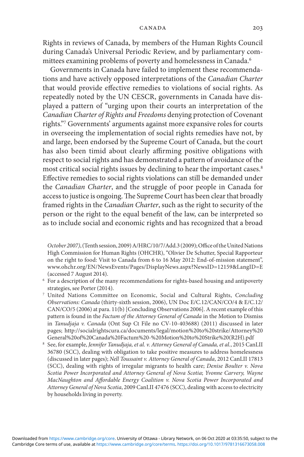Rights in reviews of Canada, by members of the Human Rights Council during Canada's Universal Periodic Review, and by parliamentary committees examining problems of poverty and homelessness in Canada. 6

 Governments in Canada have failed to implement these recommendations and have actively opposed interpretations of the *Canadian Charter*  that would provide effective remedies to violations of social rights. As repeatedly noted by the UN CESCR , governments in Canada have displayed a pattern of "urging upon their courts an interpretation of the *Canadian Charter of Rights and Freedoms* denying protection of Covenant rights."<sup>7</sup> Governments' arguments against more expansive roles for courts in overseeing the implementation of social rights remedies have not, by and large, been endorsed by the Supreme Court of Canada, but the court has also been timid about clearly affirming positive obligations with respect to social rights and has demonstrated a pattern of avoidance of the most critical social rights issues by declining to hear the important cases. 8 Effective remedies to social rights violations can still be demanded under the *Canadian Charter*, and the struggle of poor people in Canada for access to justice is ongoing. The Supreme Court has been clear that broadly framed rights in the *Canadian Charter* , such as the right to security of the person or the right to the equal benefit of the law, can be interpreted so as to include social and economic rights and has recognized that a broad

October 2007), (Tenth session, 2009) A/HRC/10/7/Add.3 (2009); Office of the United Nations High Commission for Human Rights (OHCHR), "Olivier De Schutter, Special Rapporteur on the right to food: Visit to Canada from 6 to 16 May 2012: End-of-mission statement", www.ohchr.org/ EN/ NewsEvents/ Pages/ DisplayNews.aspx?NewsID=12159&LangID=E (accessed 7 August 2014).

- 6 For a description of the many recommendations for rights- based housing and antipoverty strategies, see Porter (2014).
- <sup>7</sup> United Nations Committee on Economic, Social and Cultural Rights, Concluding *Observations: Canada* (thirty-sixth session, 2006), UN Doc E/C.12/CAN/CO/4 & E/C.12/ CAN/CO/5 (2006) at para. 11(b) [Concluding Observations 2006]. A recent example of this pattern is found in the *Factum of the Attorney General of Canada* in the Motion to Dismiss in *Tanudjaja v. Canada* (Ont Sup Ct File no CV- 10- 403688 ) (2011) discussed in later pages; http:// socialrightscura.ca/ documents/ legal/ motion%20to%20strike/ Attorney%20 General%20of%20Canada%20Factum%20- %20Motion%20to%20Strike%20(R2H).pdf
- <sup>8</sup> See, for example, *Jennifer Tanudjaja, et al. v. Attorney General of Canada, et al.*, 2015 CanLII 36780 (SCC), dealing with obligation to take positive measures to address homelessness (discussed in later pages); *Nell Toussaint v. Attorney General of Canada* , 2012 CanLII 17813 (SCC) , dealing with rights of irregular migrants to health care; *Denise Boulter v. Nova Scotia Power Incorporated and Attorney General of Nova Scotia* ; *Yvonne Carvery, Wayne MacNaughton and Affordable Energy Coalition v. Nova Scotia Power Incorporated and Attorney General of Nova Scotia* , 2009 CanLII 47476 (SCC), dealing with access to electricity by households living in poverty.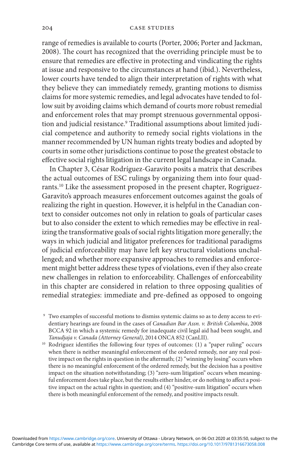range of remedies is available to courts (Porter, 2006; Porter and Jackman, 2008). The court has recognized that the overriding principle must be to ensure that remedies are effective in protecting and vindicating the rights at issue and responsive to the circumstances at hand (ibid.). Nevertheless, lower courts have tended to align their interpretation of rights with what they believe they can immediately remedy , granting motions to dismiss claims for more systemic remedies, and legal advocates have tended to follow suit by avoiding claims which demand of courts more robust remedial and enforcement roles that may prompt strenuous governmental opposition and judicial resistance. 9 Traditional assumptions about limited judicial competence and authority to remedy social rights violations in the manner recommended by UN human rights treaty bodies and adopted by courts in some other jurisdictions continue to pose the greatest obstacle to effective social rights litigation in the current legal landscape in Canada.

In Chapter 3, César Rodríguez-Garavito posits a matrix that describes the actual outcomes of ESC rulings by organizing them into four quadrants. 10 Like the assessment proposed in the present chapter, Rogriguez-Garavito's approach measures enforcement outcomes against the goals of realizing the right in question. However, it is helpful in the Canadian context to consider outcomes not only in relation to goals of particular cases but to also consider the extent to which remedies may be effective in realizing the transformative goals of social rights litigation more generally; the ways in which judicial and litigator preferences for traditional paradigms of judicial enforceability may have left key structural violations unchallenged; and whether more expansive approaches to remedies and enforcement might better address these types of violations, even if they also create new challenges in relation to enforceability. Challenges of enforceability in this chapter are considered in relation to three opposing qualities of remedial strategies: immediate and pre-defined as opposed to ongoing

 9 Two examples of successful motions to dismiss systemic claims so as to deny access to evidentiary hearings are found in the cases of *Canadian Bar Assn. v. British Columbia* , 2008 BCCA 92 in which a systemic remedy for inadequate civil legal aid had been sought, and

*Tanudjaja v. Canada (Attorney General)*, 2014 ONCA 852 (CanLII).<br><sup>10</sup> Rodriguez identifies the following four types of outcomes: (1) a "paper ruling" occurs when there is neither meaningful enforcement of the ordered remedy, nor any real positive impact on the rights in question in the aftermath; (2) "winning by losing" occurs when there is no meaningful enforcement of the ordered remedy, but the decision has a positive impact on the situation notwithstanding; (3) "zero-sum litigation" occurs when meaningful enforcement does take place, but the results either hinder, or do nothing to affect a positive impact on the actual rights in question; and (4) "positive- sum litigation" occurs when there is both meaningful enforcement of the remedy, and positive impacts result.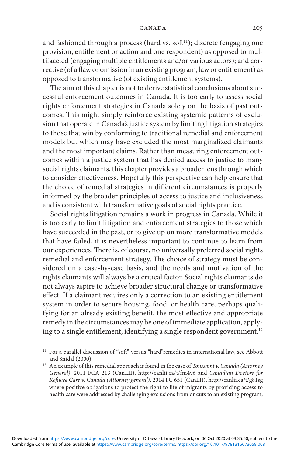and fashioned through a process (hard vs. soft11); discrete (engaging one provision, entitlement or action and one respondent) as opposed to multifaceted (engaging multiple entitlements and/or various actors); and corrective (of a flaw or omission in an existing program, law or entitlement) as opposed to transformative (of existing entitlement systems).

The aim of this chapter is not to derive statistical conclusions about successful enforcement outcomes in Canada. It is too early to assess social rights enforcement strategies in Canada solely on the basis of past outcomes. This might simply reinforce existing systemic patterns of exclusion that operate in Canada's justice system by limiting litigation strategies to those that win by conforming to traditional remedial and enforcement models but which may have excluded the most marginalized claimants and the most important claims. Rather than measuring enforcement outcomes within a justice system that has denied access to justice to many social rights claimants, this chapter provides a broader lens through which to consider effectiveness. Hopefully this perspective can help ensure that the choice of remedial strategies in different circumstances is properly informed by the broader principles of access to justice and inclusiveness and is consistent with transformative goals of social rights practice.

 Social rights litigation remains a work in progress in Canada. While it is too early to limit litigation and enforcement strategies to those which have succeeded in the past, or to give up on more transformative models that have failed, it is nevertheless important to continue to learn from our experiences. There is, of course, no universally preferred social rights remedial and enforcement strategy. The choice of strategy must be considered on a case-by-case basis, and the needs and motivation of the rights claimants will always be a critical factor. Social rights claimants do not always aspire to achieve broader structural change or transformative effect. If a claimant requires only a correction to an existing entitlement system in order to secure housing, food, or health care, perhaps qualifying for an already existing benefit, the most effective and appropriate remedy in the circumstances may be one of immediate application, applying to a single entitlement, identifying a single respondent government. 12

<sup>&</sup>lt;sup>11</sup> For a parallel discussion of "soft" versus "hard"remedies in international law, see Abbott and Snidal (2000).<br><sup>12</sup> An example of this remedial approach is found in the case of *Toussaint v. Canada* (Attorney

*General)* , 2011 FCA 213 (CanLII), http:// canlii.ca/ t/ fm4v6 and *Canadian Doctors for Refugee Care v. Canada (Attorney general)* , 2014 FC 651 (CanLII), http:// canlii.ca/ t/ g81sg where positive obligations to protect the right to life of migrants by providing access to health care were addressed by challenging exclusions from or cuts to an existing program,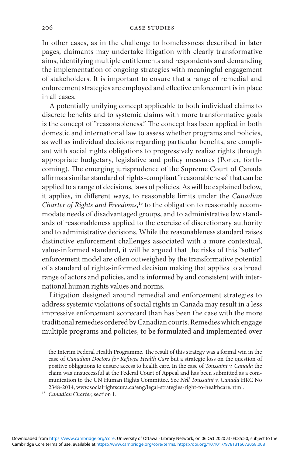In other cases, as in the challenge to homelessness described in later pages, claimants may undertake litigation with clearly transformative aims, identifying multiple entitlements and respondents and demanding the implementation of ongoing strategies with meaningful engagement of stakeholders. It is important to ensure that a range of remedial and enforcement strategies are employed and effective enforcement is in place in all cases.

 A potentially unifying concept applicable to both individual claims to discrete benefits and to systemic claims with more transformative goals is the concept of "reasonableness." The concept has been applied in both domestic and international law to assess whether programs and policies, as well as individual decisions regarding particular benefits, are compliant with social rights obligations to progressively realize rights through appropriate budgetary, legislative and policy measures (Porter, forthcoming). The emerging jurisprudence of the Supreme Court of Canada affirms a similar standard of rights-compliant "reasonableness" that can be applied to a range of decisions, laws of policies. As will be explained below, it applies, in different ways, to reasonable limits under the *Canadian* Charter of Rights and Freedoms,<sup>13</sup> to the obligation to reasonably accommodate needs of disadvantaged groups, and to administrative law standards of reasonableness applied to the exercise of discretionary authority and to administrative decisions. While the reasonableness standard raises distinctive enforcement challenges associated with a more contextual, value-informed standard, it will be argued that the risks of this "softer" enforcement model are often outweighed by the transformative potential of a standard of rights- informed decision making that applies to a broad range of actors and policies, and is informed by and consistent with international human rights values and norms.

 Litigation designed around remedial and enforcement strategies to address systemic violations of social rights in Canada may result in a less impressive enforcement scorecard than has been the case with the more traditional remedies ordered by Canadian courts. Remedies which engage multiple programs and policies, to be formulated and implemented over

the Interim Federal Health Programme. The result of this strategy was a formal win in the case of *Canadian Doctors for Refugee Health Care* but a strategic loss on the question of positive obligations to ensure access to health care. In the case of *Toussaint v. Canada* the claim was unsuccessful at the Federal Court of Appeal and has been submitted as a communication to the UN Human Rights Committee . See *Nell Toussaint v. Canada* HRC No 2348- 2014, www.socialrightscura.ca/ eng/ legal- strategies- right- to- healthcare.html . 13 *Canadian Charter* , section 1.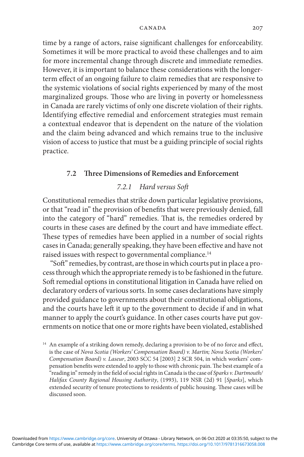time by a range of actors, raise significant challenges for enforceability. Sometimes it will be more practical to avoid these challenges and to aim for more incremental change through discrete and immediate remedies. However, it is important to balance these considerations with the longerterm effect of an ongoing failure to claim remedies that are responsive to the systemic violations of social rights experienced by many of the most marginalized groups. Those who are living in poverty or homelessness in Canada are rarely victims of only one discrete violation of their rights. Identifying effective remedial and enforcement strategies must remain a contextual endeavor that is dependent on the nature of the violation and the claim being advanced and which remains true to the inclusive vision of access to justice that must be a guiding principle of social rights practice.

## **7.2 Th ree Dimensions of Remedies and Enforcement**

## *7.2.1 Hard versus Soft*

 Constitutional remedies that strike down particular legislative provisions, or that "read in" the provision of benefits that were previously denied, fall into the category of "hard" remedies. That is, the remedies ordered by courts in these cases are defined by the court and have immediate effect. These types of remedies have been applied in a number of social rights cases in Canada; generally speaking, they have been effective and have not raised issues with respect to governmental compliance. 14

"Soft" remedies, by contrast, are those in which courts put in place a process through which the appropriate remedy is to be fashioned in the future. Soft remedial options in constitutional litigation in Canada have relied on declaratory orders of various sorts. In some cases declarations have simply provided guidance to governments about their constitutional obligations, and the courts have left it up to the government to decide if and in what manner to apply the court's guidance. In other cases courts have put governments on notice that one or more rights have been violated, established

<sup>&</sup>lt;sup>14</sup> An example of a striking down remedy, declaring a provision to be of no force and effect, is the case of *Nova Scotia (Workers' Compensation Board) v. Martin; Nova Scotia (Workers' Compensation Board) v. Laseur* , 2003 SCC 54 [2003] 2 SCR 504, in which workers' compensation benefits were extended to apply to those with chronic pain. The best example of a "reading in" remedy in the field of social rights in Canada is the case of *Sparks v. Dartmouth*/ *Halifax County Regional Housing Authority* , (1993), 119 NSR (2d) 91 [ *Sparks* ], which extended security of tenure protections to residents of public housing. These cases will be discussed soon.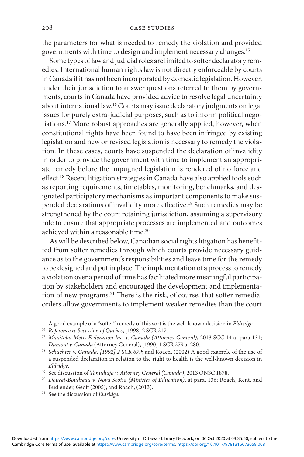the parameters for what is needed to remedy the violation and provided governments with time to design and implement necessary changes. 15

Some types of law and judicial roles are limited to softer declaratory remedies. International human rights law is not directly enforceable by courts in Canada if it has not been incorporated by domestic legislation. However, under their jurisdiction to answer questions referred to them by governments, courts in Canada have provided advice to resolve legal uncertainty about international law. 16 Courts may issue declaratory judgments on legal issues for purely extra-judicial purposes, such as to inform political negotiations. 17 More robust approaches are generally applied, however, when constitutional rights have been found to have been infringed by existing legislation and new or revised legislation is necessary to remedy the violation. In these cases, courts have suspended the declaration of invalidity in order to provide the government with time to implement an appropriate remedy before the impugned legislation is rendered of no force and effect.<sup>18</sup> Recent litigation strategies in Canada have also applied tools such as reporting requirements, timetables, monitoring , benchmarks, and designated participatory mechanisms as important components to make suspended declarations of invalidity more effective.<sup>19</sup> Such remedies may be strengthened by the court retaining jurisdiction, assuming a supervisory role to ensure that appropriate processes are implemented and outcomes achieved within a reasonable time.<sup>20</sup>

As will be described below, Canadian social rights litigation has benefitted from softer remedies through which courts provide necessary guidance as to the government's responsibilities and leave time for the remedy to be designed and put in place. The implementation of a process to remedy a violation over a period of time has facilitated more meaningful participation by stakeholders and encouraged the development and implementation of new programs.<sup>21</sup> There is the risk, of course, that softer remedial orders allow governments to implement weaker remedies than the court

- <sup>15</sup> A good example of a "softer" remedy of this sort is the well-known decision in *Eldridge*.
- 
- <sup>16</sup>*Reference re Secession of Quebec* , [1998] 2 SCR 217. 17 *Manitoba Metis Federation Inc. v. Canada (Attorney General)* , 2013 SCC 14 at para 131; *Dumont v. Canada* (Attorney General), [1990] 1 SCR 279 at 280.<br><sup>18</sup> *Schachter v. Canada, [1992] 2 SCR 679*; and Roach, (2002) A good example of the use of
- a suspended declaration in relation to the right to health is the well-known decision in *Eldridge* . 19 See discussion of *Tanudjaja v. Attorney General (Canada)* , 2013 ONSC 1878 . 20 *Doucet- Boudreau v. Nova Scotia (Minister of Education)* , at para. 136; Roach, Kent, and
- 
- Budlender, Geoff (2005); and Roach, (2013).<br><sup>21</sup> See the discussion of *Eldridge*.
-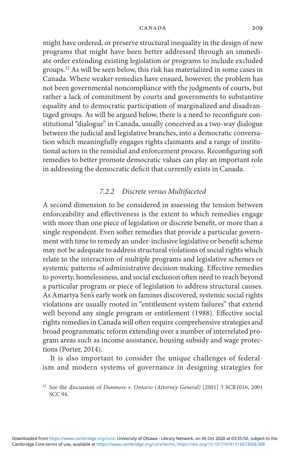might have ordered, or preserve structural inequality in the design of new programs that might have been better addressed through an immediate order extending existing legislation or programs to include excluded groups. 22 As will be seen below, this risk has materialized in some cases in Canada. Where weaker remedies have ensued, however, the problem has not been governmental noncompliance with the judgments of courts, but rather a lack of commitment by courts and governments to substantive equality and to democratic participation of marginalized and disadvantaged groups. As will be argued below, there is a need to reconfigure constitutional "dialogue" in Canada, usually conceived as a two- way dialogue between the judicial and legislative branches, into a democratic conversation which meaningfully engages rights claimants and a range of institutional actors in the remedial and enforcement process. Reconfiguring soft remedies to better promote democratic values can play an important role in addressing the democratic deficit that currently exists in Canada.

### *7.2.2 Discrete versus Multifaceted*

 A second dimension to be considered in assessing the tension between enforceability and effectiveness is the extent to which remedies engage with more than one piece of legislation or discrete benefit, or more than a single respondent. Even softer remedies that provide a particular government with time to remedy an under-inclusive legislative or benefit scheme may not be adequate to address structural violations of social rights which relate to the interaction of multiple programs and legislative schemes or systemic patterns of administrative decision making. Effective remedies to poverty, homelessness, and social exclusion often need to reach beyond a particular program or piece of legislation to address structural causes. As Amartya Sen's early work on famines discovered, systemic social rights violations are usually rooted in "entitlement system failures" that extend well beyond any single program or entitlement (1988). Effective social rights remedies in Canada will often require comprehensive strategies and broad programmatic reform extending over a number of interrelated program areas such as income assistance, housing subsidy and wage protections (Porter, 2014).

 It is also important to consider the unique challenges of federalism and modern systems of governance in designing strategies for

<sup>22</sup> See the discussion of *Dunmore v. Ontario (Attorney General)* [2001] 3 SCR1016, 2001 SCC 94.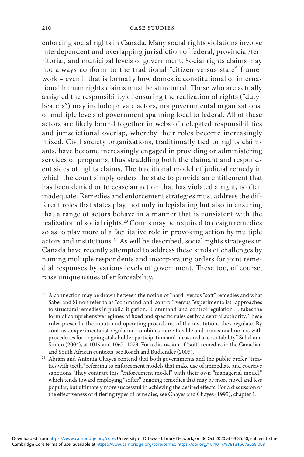enforcing social rights in Canada. Many social rights violations involve interdependent and overlapping jurisdiction of federal, provincial/territorial, and municipal levels of government. Social rights claims may not always conform to the traditional "citizen- versus- state" framework – even if that is formally how domestic constitutional or international human rights claims must be structured. Those who are actually assigned the responsibility of ensuring the realization of rights ("dutybearers") may include private actors, nongovernmental organizations, or multiple levels of government spanning local to federal. All of these actors are likely bound together in webs of delegated responsibilities and jurisdictional overlap, whereby their roles become increasingly mixed. Civil society organizations, traditionally tied to rights claimants, have become increasingly engaged in providing or administering services or programs, thus straddling both the claimant and respondent sides of rights claims. The traditional model of judicial remedy in which the court simply orders the state to provide an entitlement that has been denied or to cease an action that has violated a right, is often inadequate. Remedies and enforcement strategies must address the different roles that states play, not only in legislating but also in ensuring that a range of actors behave in a manner that is consistent with the realization of social rights. 23 Courts may be required to design remedies so as to play more of a facilitative role in provoking action by multiple actors and institutions. 24 As will be described, social rights strategies in Canada have recently attempted to address these kinds of challenges by naming multiple respondents and incorporating orders for joint remedial responses by various levels of government. These too, of course, raise unique issues of enforceability.

- <sup>23</sup> A connection may be drawn between the notion of "hard" versus "soft" remedies and what Sabel and Simon refer to as "command- and- control" versus "experimentalist" approaches to structural remedies in public litigation. "Command-and-control regulation ... takes the form of comprehensive regimes of fixed and specific rules set by a central authority. These rules prescribe the inputs and operating procedures of the institutions they regulate. By contrast, experimentalist regulation combines more flexible and provisional norms with procedures for ongoing stakeholder participation and measured accountability" Sabel and Simon (2004), at 1019 and 1067-1073. For a discussion of "soft" remedies in the Canadian
- and South African contexts, see Roach and Budlender (2005).<br><sup>24</sup> Abram and Antonia Chayes contend that both governments and the public prefer "treaties with teeth," referring to enforcement models that make use of immediate and coercive sanctions. They contrast this "enforcement model" with their own "managerial model," which tends toward employing "softer," ongoing remedies that may be more novel and less popular, but ultimately more successful in achieving the desired effects. For a discussion of the effectiveness of differing types of remedies, see Chayes and Chayes (1995), chapter 1.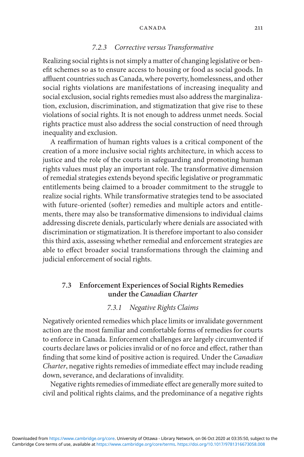### *7.2.3 Corrective versus Transformative*

 Realizing social rights is not simply a matter of changing legislative or benefit schemes so as to ensure access to housing or food as social goods. In affluent countries such as Canada, where poverty, homelessness, and other social rights violations are manifestations of increasing inequality and social exclusion, social rights remedies must also address the marginalization, exclusion, discrimination, and stigmatization that give rise to these violations of social rights. It is not enough to address unmet needs. Social rights practice must also address the social construction of need through inequality and exclusion.

A reaffirmation of human rights values is a critical component of the creation of a more inclusive social rights architecture, in which access to justice and the role of the courts in safeguarding and promoting human rights values must play an important role. The transformative dimension of remedial strategies extends beyond specific legislative or programmatic entitlements being claimed to a broader commitment to the struggle to realize social rights. While transformative strategies tend to be associated with future-oriented (softer) remedies and multiple actors and entitlements, there may also be transformative dimensions to individual claims addressing discrete denials, particularly where denials are associated with discrimination or stigmatization. It is therefore important to also consider this third axis, assessing whether remedial and enforcement strategies are able to effect broader social transformations through the claiming and judicial enforcement of social rights.

## **7.3 Enforcement Experiences of Social Rights Remedies under the** *Canadian Charter*

## *7.3.1 Negative Rights Claims*

 Negatively oriented remedies which place limits or invalidate government action are the most familiar and comfortable forms of remedies for courts to enforce in Canada. Enforcement challenges are largely circumvented if courts declare laws or policies invalid or of no force and effect, rather than fi nding that some kind of positive action is required. Under the *Canadian Charter*, negative rights remedies of immediate effect may include reading down, severance, and declarations of invalidity.

Negative rights remedies of immediate effect are generally more suited to civil and political rights claims, and the predominance of a negative rights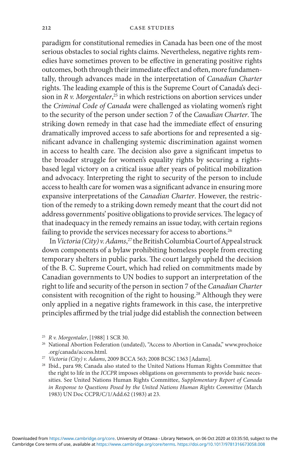#### 212 CASE STUDIES

paradigm for constitutional remedies in Canada has been one of the most serious obstacles to social rights claims. Nevertheless, negative rights remedies have sometimes proven to be effective in generating positive rights outcomes, both through their immediate effect and often, more fundamentally, through advances made in the interpretation of *Canadian Charter*  rights. The leading example of this is the Supreme Court of Canada's decision in *R v. Morgentaler*,<sup>25</sup> in which restrictions on abortion services under the *Criminal Code of Canada* were challenged as violating women's right to the security of the person under section 7 of the *Canadian Charter*. The striking down remedy in that case had the immediate effect of ensuring dramatically improved access to safe abortions for and represented a significant advance in challenging systemic discrimination against women in access to health care. The decision also gave a significant impetus to the broader struggle for women's equality rights by securing a rightsbased legal victory on a critical issue after years of political mobilization and advocacy. Interpreting the right to security of the person to include access to health care for women was a significant advance in ensuring more expansive interpretations of the *Canadian Charter* . However, the restriction of the remedy to a striking down remedy meant that the court did not address governments' positive obligations to provide services. The legacy of that inadequacy in the remedy remains an issue today, with certain regions failing to provide the services necessary for access to abortions. 26

In *Victoria (City) v. Adams*,<sup>27</sup> the British Columbia Court of Appeal struck down components of a bylaw prohibiting homeless people from erecting temporary shelters in public parks. The court largely upheld the decision of the B. C. Supreme Court, which had relied on commitments made by Canadian governments to UN bodies to support an interpretation of the right to life and security of the person in section 7 of the *Canadian Charter*  consistent with recognition of the right to housing.<sup>28</sup> Although they were only applied in a negative rights framework in this case, the interpretive principles affirmed by the trial judge did establish the connection between

the right to life in the *ICCPR* imposes obligations on governments to provide basic necessities. See United Nations Human Rights Committee, *Supplementary Report of Canada*  in Response to Questions Posed by the United Nations Human Rights Committee (March 1983) UN Doc CCPR/C/1/Add.62 (1983) at 23.

<sup>&</sup>lt;sup>25</sup> R v. Morgentaler, [1988] 1 SCR 30.<br><sup>26</sup> National Abortion Federation (undated), "Access to Abortion in Canada," www.prochoice .org/ canada/ access.html . 27 *Victoria (City) v. Adams* , 2009 BCCA 563; 2008 BCSC 1363 [Adams]. 28 Ibid ., para 98; Canada also stated to the United Nations Human Rights Committee that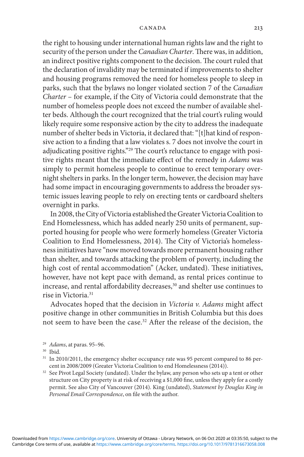the right to housing under international human rights law and the right to security of the person under the *Canadian Charter*. There was, in addition, an indirect positive rights component to the decision. The court ruled that the declaration of invalidity may be terminated if improvements to shelter and housing programs removed the need for homeless people to sleep in parks, such that the bylaws no longer violated section 7 of the *Canadian Charter*  – for example, if the City of Victoria could demonstrate that the number of homeless people does not exceed the number of available shelter beds. Although the court recognized that the trial court's ruling would likely require some responsive action by the city to address the inadequate number of shelter beds in Victoria, it declared that: "[t] hat kind of responsive action to a finding that a law violates s. 7 does not involve the court in adjudicating positive rights."<sup>29</sup> The court's reluctance to engage with positive rights meant that the immediate effect of the remedy in *Adams* was simply to permit homeless people to continue to erect temporary overnight shelters in parks. In the longer term, however, the decision may have had some impact in encouraging governments to address the broader systemic issues leaving people to rely on erecting tents or cardboard shelters overnight in parks.

 In 2008, the City of Victoria established the Greater Victoria Coalition to End Homelessness, which has added nearly 250 units of permanent, supported housing for people who were formerly homeless (Greater Victoria Coalition to End Homelessness, 2014). The City of Victoria's homelessness initiatives have "now moved towards more permanent housing rather than shelter, and towards attacking the problem of poverty, including the high cost of rental accommodation" (Acker, undated). These initiatives, however, have not kept pace with demand, as rental prices continue to increase, and rental affordability decreases,<sup>30</sup> and shelter use continues to rise in Victoria. 31

Advocates hoped that the decision in *Victoria v. Adams* might affect positive change in other communities in British Columbia but this does not seem to have been the case.<sup>32</sup> After the release of the decision, the

<sup>&</sup>lt;sup>29</sup> *Adams*, at paras. 95–96.<br><sup>30</sup> Ibid.

<sup>&</sup>lt;sup>31</sup> In 2010/2011, the emergency shelter occupancy rate was 95 percent compared to 86 percent in 2008/2009 (Greater Victoria Coalition to end Homelessness (2014)).<br><sup>32</sup> See Pivot Legal Society (undated). Under the bylaw, any person who sets up a tent or other

structure on City property is at risk of receiving a \$1,000 fine, unless they apply for a costly permit. See also City of Vancouver (2014). King (undated), *Statement by Douglas King in Personal Email Correspondence*, on file with the author.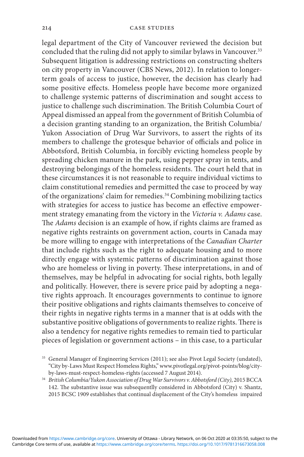legal department of the City of Vancouver reviewed the decision but concluded that the ruling did not apply to similar bylaws in Vancouver.<sup>33</sup> Subsequent litigation is addressing restrictions on constructing shelters on city property in Vancouver (CBS News, 2012 ). In relation to longerterm goals of access to justice, however, the decision has clearly had some positive effects. Homeless people have become more organized to challenge systemic patterns of discrimination and sought access to justice to challenge such discrimination. The British Columbia Court of Appeal dismissed an appeal from the government of British Columbia of a decision granting standing to an organization, the British Columbia/ Yukon Association of Drug War Survivors, to assert the rights of its members to challenge the grotesque behavior of officials and police in Abbotsford, British Columbia, in forcibly evicting homeless people by spreading chicken manure in the park, using pepper spray in tents, and destroying belongings of the homeless residents. The court held that in these circumstances it is not reasonable to require individual victims to claim constitutional remedies and permitted the case to proceed by way of the organizations' claim for remedies. 34 Combining mobilizing tactics with strategies for access to justice has become an effective empowerment strategy emanating from the victory in the *Victoria v. Adams* case. The *Adams* decision is an example of how, if rights claims are framed as negative rights restraints on government action, courts in Canada may be more willing to engage with interpretations of the *Canadian Charter*  that include rights such as the right to adequate housing and to more directly engage with systemic patterns of discrimination against those who are homeless or living in poverty. These interpretations, in and of themselves, may be helpful in advocating for social rights, both legally and politically. However, there is severe price paid by adopting a negative rights approach. It encourages governments to continue to ignore their positive obligations and rights claimants themselves to conceive of their rights in negative rights terms in a manner that is at odds with the substantive positive obligations of governments to realize rights. There is also a tendency for negative rights remedies to remain tied to particular pieces of legislation or government actions – in this case, to a particular

142. The substantive issue was subsequentlly considered in Abbotsford (City) v. Shantz, 2015 BCSC 1909 establishes that continual displacement of the City's homeless impaired

<sup>&</sup>lt;sup>33</sup> General Manager of Engineering Services (2011); see also Pivot Legal Society (undated), "City by- Laws Must Respect Homeless Rights," www.pivotlegal.org/ pivot- points/ blog/ cityby-laws-must-respect-homeless-rights (accessed 7 August 2014).<br><sup>34</sup> *British Columbia/Yukon Association of Drug War Survivors v. Abbotsford (City)*, 2015 BCCA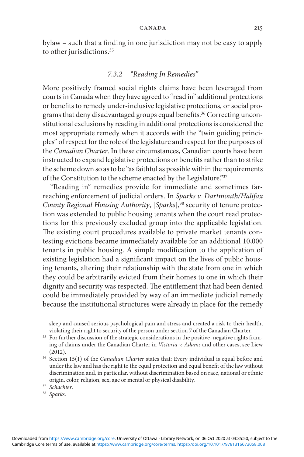bylaw – such that a finding in one jurisdiction may not be easy to apply to other jurisdictions.<sup>35</sup>

## *7.3.2 "Reading In Remedies"*

 More positively framed social rights claims have been leveraged from courts in Canada when they have agreed to "read in" additional protections or benefits to remedy under-inclusive legislative protections, or social programs that deny disadvantaged groups equal benefits.<sup>36</sup> Correcting unconstitutional exclusions by reading in additional protections is considered the most appropriate remedy when it accords with the "twin guiding principles" of respect for the role of the legislature and respect for the purposes of the *Canadian Charter* . In these circumstances, Canadian courts have been instructed to expand legislative protections or benefits rather than to strike the scheme down so as to be "as faithful as possible within the requirements of the Constitution to the scheme enacted by the Legislature."<sup>37</sup>

 "Reading in" remedies provide for immediate and sometimes farreaching enforcement of judicial orders. In *Sparks v. Dartmouth/ Halifax County Regional Housing Authority*, [*Sparks*],<sup>38</sup> security of tenure protection was extended to public housing tenants when the court read protections for this previously excluded group into the applicable legislation. The existing court procedures available to private market tenants contesting evictions became immediately available for an additional 10,000 tenants in public housing. A simple modification to the application of existing legislation had a significant impact on the lives of public housing tenants, altering their relationship with the state from one in which they could be arbitrarily evicted from their homes to one in which their dignity and security was respected. The entitlement that had been denied could be immediately provided by way of an immediate judicial remedy because the institutional structures were already in place for the remedy

sleep and caused serious psychological pain and stress and created a risk to their health,

violating their right to security of the person under section 7 of the Canadian Charter. 35 For further discussion of the strategic considerations in the positive–negative rights framing of claims under the Canadian Charter in *Victoria v. Adams* and other cases, see Liew ( 2012 ). 36 Section 15(1) of the *Canadian Charter* states that: Every individual is equal before and

under the law and has the right to the equal protection and equal benefit of the law without discrimination and, in particular, without discrimination based on race, national or ethnic origin, color, religion , sex, age or mental or physical disability . 37 *Schachter* . 38 *Sparks* .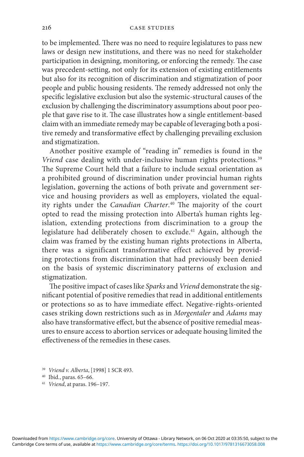to be implemented. There was no need to require legislatures to pass new laws or design new institutions, and there was no need for stakeholder participation in designing, monitoring, or enforcing the remedy. The case was precedent- setting, not only for its extension of existing entitlements but also for its recognition of discrimination and stigmatization of poor people and public housing residents. The remedy addressed not only the specific legislative exclusion but also the systemic-structural causes of the exclusion by challenging the discriminatory assumptions about poor people that gave rise to it. The case illustrates how a single entitlement-based claim with an immediate remedy may be capable of leveraging both a positive remedy and transformative effect by challenging prevailing exclusion and stigmatization.

 Another positive example of "reading in" remedies is found in the *Vriend* case dealing with under-inclusive human rights protections.<sup>39</sup> The Supreme Court held that a failure to include sexual orientation as a prohibited ground of discrimination under provincial human rights legislation, governing the actions of both private and government service and housing providers as well as employers, violated the equality rights under the *Canadian Charter*.<sup>40</sup> The majority of the court opted to read the missing protection into Alberta's human rights legislation, extending protections from discrimination to a group the legislature had deliberately chosen to exclude. 41 Again, although the claim was framed by the existing human rights protections in Alberta, there was a significant transformative effect achieved by providing protections from discrimination that had previously been denied on the basis of systemic discriminatory patterns of exclusion and stigmatization.

The positive impact of cases like *Sparks* and *Vriend* demonstrate the significant potential of positive remedies that read in additional entitlements or protections so as to have immediate effect. Negative-rights-oriented cases striking down restrictions such as in *Morgentaler* and *Adams* may also have transformative effect, but the absence of positive remedial measures to ensure access to abortion services or adequate housing limited the effectiveness of the remedies in these cases

<sup>39</sup>*Vriend v. Alberta* , [1998] 1 SCR 493. 40 Ibid *.* , paras. 65– 66. 41 *Vriend* , at paras. 196– 197.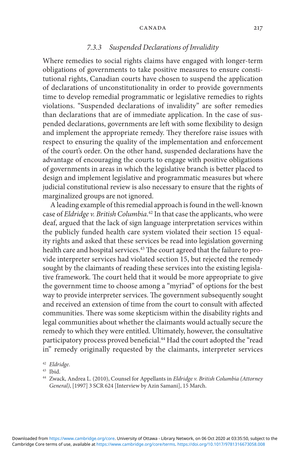## *7.3.3 Suspended Declarations of Invalidity*

 Where remedies to social rights claims have engaged with longer- term obligations of governments to take positive measures to ensure constitutional rights, Canadian courts have chosen to suspend the application of declarations of unconstitutionality in order to provide governments time to develop remedial programmatic or legislative remedies to rights violations. "Suspended declarations of invalidity" are softer remedies than declarations that are of immediate application. In the case of suspended declarations, governments are left with some flexibility to design and implement the appropriate remedy. They therefore raise issues with respect to ensuring the quality of the implementation and enforcement of the court's order. On the other hand, suspended declarations have the advantage of encouraging the courts to engage with positive obligations of governments in areas in which the legislative branch is better placed to design and implement legislative and programmatic measures but where judicial constitutional review is also necessary to ensure that the rights of marginalized groups are not ignored.

 A leading example of this remedial approach is found in the well- known case of *Eldridge v. British Columbia*.<sup>42</sup> In that case the applicants, who were deaf, argued that the lack of sign language interpretation services within the publicly funded health care system violated their section 15 equality rights and asked that these services be read into legislation governing health care and hospital services.<sup>43</sup> The court agreed that the failure to provide interpreter services had violated section 15, but rejected the remedy sought by the claimants of reading these services into the existing legislative framework. The court held that it would be more appropriate to give the government time to choose among a "myriad" of options for the best way to provide interpreter services. The government subsequently sought and received an extension of time from the court to consult with affected communities. There was some skepticism within the disability rights and legal communities about whether the claimants would actually secure the remedy to which they were entitled. Ultimately, however, the consultative participatory process proved beneficial.<sup>44</sup> Had the court adopted the "read in" remedy originally requested by the claimants, interpreter services

<sup>&</sup>lt;sup>42</sup> Eldridge.<br><sup>43</sup> Ibid.

<sup>44</sup> Zwack, Andrea L. ( 2010 ), Counsel for Appellants in *Eldridge v. British Columbia (Attorney General)* , [1997] 3 SCR 624 [Interview by Azin Samani], 15 March.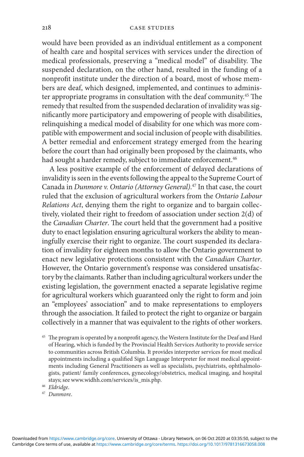would have been provided as an individual entitlement as a component of health care and hospital services with services under the direction of medical professionals, preserving a "medical model" of disability. The suspended declaration, on the other hand, resulted in the funding of a nonprofit institute under the direction of a board, most of whose members are deaf, which designed, implemented, and continues to administer appropriate programs in consultation with the deaf community.<sup>45</sup> The remedy that resulted from the suspended declaration of invalidity was significantly more participatory and empowering of people with disabilities, relinquishing a medical model of disability for one which was more compatible with empowerment and social inclusion of people with disabilities. A better remedial and enforcement strategy emerged from the hearing before the court than had originally been proposed by the claimants, who had sought a harder remedy, subject to immediate enforcement.<sup>46</sup>

 A less positive example of the enforcement of delayed declarations of invalidity is seen in the events following the appeal to the Supreme Court of Canada in *Dunmore v. Ontario (Attorney General)*.<sup>47</sup> In that case, the court ruled that the exclusion of agricultural workers from the *Ontario Labour Relations Act*, denying them the right to organize and to bargain collectively, violated their right to freedom of association under section 2(d) of the *Canadian Charter*. The court held that the government had a positive duty to enact legislation ensuring agricultural workers the ability to meaningfully exercise their right to organize. The court suspended its declaration of invalidity for eighteen months to allow the Ontario government to enact new legislative protections consistent with the *Canadian Charter* . However, the Ontario government's response was considered unsatisfactory by the claimants. Rather than including agricultural workers under the existing legislation, the government enacted a separate legislative regime for agricultural workers which guaranteed only the right to form and join an "employees' association" and to make representations to employers through the association. It failed to protect the right to organize or bargain collectively in a manner that was equivalent to the rights of other workers.

<sup>&</sup>lt;sup>45</sup> The program is operated by a nonprofit agency, the Western Institute for the Deaf and Hard of Hearing, which is funded by the Provincial Health Services Authority to provide service to communities across British Columbia. It provides interpreter services for most medical appointments including a qualified Sign Language Interpreter for most medical appointments including General Practitioners as well as specialists, psychiatrists, ophthalmologists, patient/ family conferences, gynecology/ obstetrics, medical imaging, and hospital stays; see www.widhh.com/ services/ is\_ mis.php . 46 *Eldridge* . 47 *Dunmore* .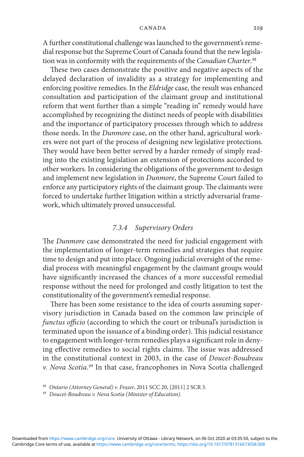A further constitutional challenge was launched to the government's remedial response but the Supreme Court of Canada found that the new legislation was in conformity with the requirements of the *Canadian Charter*.<sup>48</sup>

These two cases demonstrate the positive and negative aspects of the delayed declaration of invalidity as a strategy for implementing and enforcing positive remedies. In the *Eldridge* case, the result was enhanced consultation and participation of the claimant group and institutional reform that went further than a simple "reading in" remedy would have accomplished by recognizing the distinct needs of people with disabilities and the importance of participatory processes through which to address those needs. In the *Dunmore* case, on the other hand, agricultural workers were not part of the process of designing new legislative protections. They would have been better served by a harder remedy of simply reading into the existing legislation an extension of protections accorded to other workers. In considering the obligations of the government to design and implement new legislation in *Dunmore* , the Supreme Court failed to enforce any participatory rights of the claimant group. The claimants were forced to undertake further litigation within a strictly adversarial framework, which ultimately proved unsuccessful.

## *7.3.4 Supervisory Orders*

The *Dunmore* case demonstrated the need for judicial engagement with the implementation of longer- term remedies and strategies that require time to design and put into place. Ongoing judicial oversight of the remedial process with meaningful engagement by the claimant groups would have significantly increased the chances of a more successful remedial response without the need for prolonged and costly litigation to test the constitutionality of the government's remedial response.

There has been some resistance to the idea of courts assuming supervisory jurisdiction in Canada based on the common law principle of *functus officio* (according to which the court or tribunal's jurisdiction is terminated upon the issuance of a binding order). This judicial resistance to engagement with longer-term remedies plays a significant role in denying effective remedies to social rights claims. The issue was addressed in the constitutional context in 2003, in the case of *Doucet- Boudreau*  v. Nova Scotia.<sup>49</sup> In that case, francophones in Nova Scotia challenged

<sup>48</sup>*Ontario (Attorney General) v. Fraser* , 2011 SCC 20, [2011] 2 SCR 3. 49 *Doucet- Boudreau v. Nova Scotia (Minister of Education)* .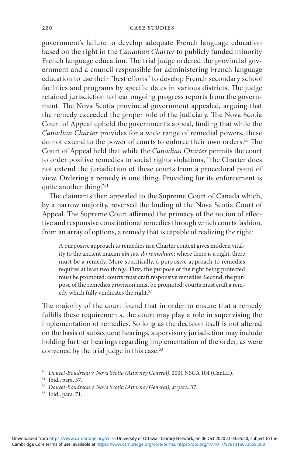#### 220 CASE STUDIES

government's failure to develop adequate French language education based on the right in the *Canadian Charter* to publicly funded minority French language education. The trial judge ordered the provincial government and a council responsible for administering French language education to use their "best efforts" to develop French secondary school facilities and programs by specific dates in various districts. The judge retained jurisdiction to hear ongoing progress reports from the government. The Nova Scotia provincial government appealed, arguing that the remedy exceeded the proper role of the judiciary. The Nova Scotia Court of Appeal upheld the government's appeal, finding that while the *Canadian Charter* provides for a wide range of remedial powers, these do not extend to the power of courts to enforce their own orders.<sup>50</sup> The Court of Appeal held that while the *Canadian Charter* permits the court to order positive remedies to social rights violations, "the Charter does not extend the jurisdiction of these courts from a procedural point of view. Ordering a remedy is one thing. Providing for its enforcement is quite another thing." 51

The claimants then appealed to the Supreme Court of Canada which, by a narrow majority, reversed the finding of the Nova Scotia Court of Appeal. The Supreme Court affirmed the primacy of the notion of effective and responsive constitutional remedies through which courts fashion, from an array of options, a remedy that is capable of realizing the right:

 A purposive approach to remedies in a Charter context gives modern vitality to the ancient maxim *ubi jus, ibi remedium*: where there is a right, there must be a remedy. More specifically, a purposive approach to remedies requires at least two things. First, the purpose of the right being protected must be promoted: courts must craft responsive remedies. Second, the purpose of the remedies provision must be promoted: courts must craft a remedy which fully vindicates the right.<sup>52</sup>

The majority of the court found that in order to ensure that a remedy fulfills these requirements, the court may play a role in supervising the implementation of remedies. So long as the decision itself is not altered on the basis of subsequent hearings, supervisory jurisdiction may include holding further hearings regarding implementation of the order, as were convened by the trial judge in this case.<sup>53</sup>

<sup>&</sup>lt;sup>50</sup> Doucet-Boudreau v. Nova Scotia (Attorney General), 2001 NSCA 104 (CanLII).<br><sup>51</sup> Ibid., para. 37.

<sup>&</sup>lt;sup>52</sup> Doucet-Boudreau v. Nova Scotia (Attorney General), at para. 37.<br><sup>53</sup> Ibid., para. 71.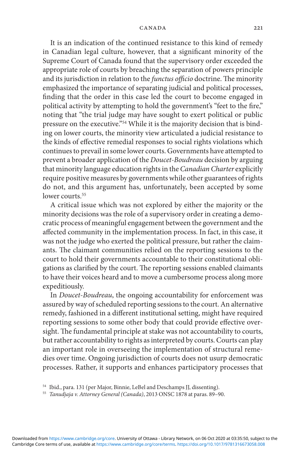It is an indication of the continued resistance to this kind of remedy in Canadian legal culture, however, that a significant minority of the Supreme Court of Canada found that the supervisory order exceeded the appropriate role of courts by breaching the separation of powers principle and its jurisdiction in relation to the *functus officio* doctrine. The minority emphasized the importance of separating judicial and political processes, finding that the order in this case led the court to become engaged in political activity by attempting to hold the government's "feet to the fire," noting that "the trial judge may have sought to exert political or public pressure on the executive."<sup>54</sup> While it is the majority decision that is binding on lower courts, the minority view articulated a judicial resistance to the kinds of effective remedial responses to social rights violations which continues to prevail in some lower courts. Governments have attempted to prevent a broader application of the *Doucet- Boudreau* decision by arguing that minority language education rights in the *Canadian Charter* explicitly require positive measures by governments while other guarantees of rights do not, and this argument has, unfortunately, been accepted by some lower courts.<sup>55</sup>

 A critical issue which was not explored by either the majority or the minority decisions was the role of a supervisory order in creating a democratic process of meaningful engagement between the government and the affected community in the implementation process. In fact, in this case, it was not the judge who exerted the political pressure, but rather the claimants. The claimant communities relied on the reporting sessions to the court to hold their governments accountable to their constitutional obligations as clarified by the court. The reporting sessions enabled claimants to have their voices heard and to move a cumbersome process along more expeditiously.

In *Doucet-Boudreau*, the ongoing accountability for enforcement was assured by way of scheduled reporting sessions to the court. An alternative remedy, fashioned in a different institutional setting, might have required reporting sessions to some other body that could provide effective oversight. The fundamental principle at stake was not accountability to courts, but rather accountability to rights as interpreted by courts. Courts can play an important role in overseeing the implementation of structural remedies over time. Ongoing jurisdiction of courts does not usurp democratic processes. Rather, it supports and enhances participatory processes that

<sup>&</sup>lt;sup>54</sup> Ibid., para. 131 (per Major, Binnie, LeBel and Deschamps JJ, dissenting).

<sup>55</sup>*Tanudjaja v. Attorney General (Canada)* , 2013 ONSC 1878 at paras. 89– 90.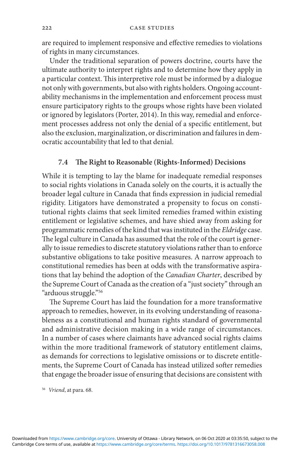are required to implement responsive and effective remedies to violations of rights in many circumstances.

 Under the traditional separation of powers doctrine, courts have the ultimate authority to interpret rights and to determine how they apply in a particular context. This interpretive role must be informed by a dialogue not only with governments, but also with rights holders. Ongoing accountability mechanisms in the implementation and enforcement process must ensure participatory rights to the groups whose rights have been violated or ignored by legislators (Porter, 2014 ). In this way, remedial and enforcement processes address not only the denial of a specific entitlement, but also the exclusion, marginalization, or discrimination and failures in democratic accountability that led to that denial.

## 7.4 The Right to Reasonable (Rights-Informed) Decisions

 While it is tempting to lay the blame for inadequate remedial responses to social rights violations in Canada solely on the courts, it is actually the broader legal culture in Canada that finds expression in judicial remedial rigidity. Litigators have demonstrated a propensity to focus on constitutional rights claims that seek limited remedies framed within existing entitlement or legislative schemes, and have shied away from asking for programmatic remedies of the kind that was instituted in the *Eldridge* case. The legal culture in Canada has assumed that the role of the court is generally to issue remedies to discrete statutory violations rather than to enforce substantive obligations to take positive measures. A narrow approach to constitutional remedies has been at odds with the transformative aspirations that lay behind the adoption of the *Canadian Charter* , described by the Supreme Court of Canada as the creation of a "just society" through an "arduous struggle." 56

The Supreme Court has laid the foundation for a more transformative approach to remedies, however, in its evolving understanding of reasonableness as a constitutional and human rights standard of governmental and administrative decision making in a wide range of circumstances. In a number of cases where claimants have advanced social rights claims within the more traditional framework of statutory entitlement claims, as demands for corrections to legislative omissions or to discrete entitlements, the Supreme Court of Canada has instead utilized softer remedies that engage the broader issue of ensuring that decisions are consistent with

<sup>56</sup> Vriend, at para. 68.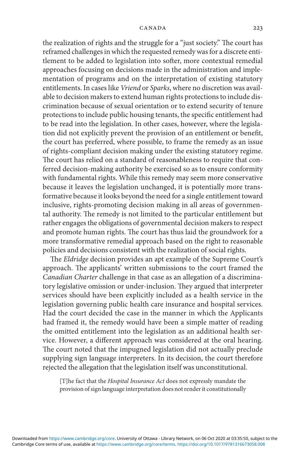the realization of rights and the struggle for a "just society." The court has reframed challenges in which the requested remedy was for a discrete entitlement to be added to legislation into softer, more contextual remedial approaches focusing on decisions made in the administration and implementation of programs and on the interpretation of existing statutory entitlements. In cases like *Vriend* or *Sparks* , where no discretion was available to decision makers to extend human rights protections to include discrimination because of sexual orientation or to extend security of tenure protections to include public housing tenants, the specific entitlement had to be read into the legislation. In other cases, however, where the legislation did not explicitly prevent the provision of an entitlement or benefit, the court has preferred, where possible, to frame the remedy as an issue of rights- compliant decision making under the existing statutory regime. The court has relied on a standard of reasonableness to require that conferred decision-making authority be exercised so as to ensure conformity with fundamental rights. While this remedy may seem more conservative because it leaves the legislation unchanged, it is potentially more transformative because it looks beyond the need for a single entitlement toward inclusive, rights-promoting decision making in all areas of governmental authority. The remedy is not limited to the particular entitlement but rather engages the obligations of governmental decision makers to respect and promote human rights. The court has thus laid the groundwork for a more transformative remedial approach based on the right to reasonable policies and decisions consistent with the realization of social rights.

The *Eldridge* decision provides an apt example of the Supreme Court's approach. The applicants' written submissions to the court framed the *Canadian Charter* challenge in that case as an allegation of a discriminatory legislative omission or under-inclusion. They argued that interpreter services should have been explicitly included as a health service in the legislation governing public health care insurance and hospital services. Had the court decided the case in the manner in which the Applicants had framed it, the remedy would have been a simple matter of reading the omitted entitlement into the legislation as an additional health service. However, a different approach was considered at the oral hearing. The court noted that the impugned legislation did not actually preclude supplying sign language interpreters. In its decision, the court therefore rejected the allegation that the legislation itself was unconstitutional.

 [T] he fact that the *Hospital Insurance Act* does not expressly mandate the provision of sign language interpretation does not render it constitutionally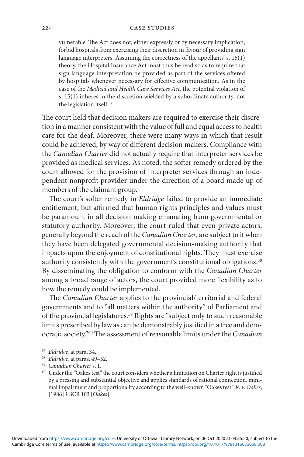#### 224 CASE STUDIES

vulnerable. The Act does not, either expressly or by necessary implication, forbid hospitals from exercising their discretion in favour of providing sign language interpreters. Assuming the correctness of the appellants' s. 15(1) theory, the Hospital Insurance Act must thus be read so as to require that sign language interpretation be provided as part of the services offered by hospitals whenever necessary for effective communication. As in the case of the *Medical and Health Care Services Act* , the potential violation of s. 15(1) inheres in the discretion wielded by a subordinate authority, not the legislation itself.<sup>57</sup>

The court held that decision makers are required to exercise their discretion in a manner consistent with the value of full and equal access to health care for the deaf. Moreover, there were many ways in which that result could be achieved, by way of different decision makers. Compliance with the *Canadian Charter* did not actually require that interpreter services be provided as medical services. As noted, the softer remedy ordered by the court allowed for the provision of interpreter services through an independent nonprofit provider under the direction of a board made up of members of the claimant group.

The court's softer remedy in *Eldridge* failed to provide an immediate entitlement, but affirmed that human rights principles and values must be paramount in all decision making emanating from governmental or statutory authority. Moreover, the court ruled that even private actors, generally beyond the reach of the *Canadian Charter* , are subject to it when they have been delegated governmental decision- making authority that impacts upon the enjoyment of constitutional rights. They must exercise authority consistently with the government's constitutional obligations. 58 By disseminating the obligation to conform with the *Canadian Charter*  among a broad range of actors, the court provided more flexibility as to how the remedy could be implemented.

The *Canadian Charter* applies to the provincial/territorial and federal governments and to "all matters within the authority" of Parliament and of the provincial legislatures. 59 Rights are "subject only to such reasonable limits prescribed by law as can be demonstrably justified in a free and democratic society."<sup>60</sup> The assessment of reasonable limits under the *Canadian* 

- 
- 

<sup>&</sup>lt;sup>57</sup> Eldridge, at para. 34.<br><sup>58</sup> Eldridge, at paras. 49–52.<br><sup>59</sup> *Canadian Charter* s. 1.<br><sup>60</sup> Under the "Oakes test" the court considers whether a limitation on Charter right is justified by a pressing and substantial objective and applies standards of rational connection, minimal impairment and proportionality according to the well- known "Oakes test." *R. v. Oakes* , [1986] 1 SCR 103 [ *Oakes* ].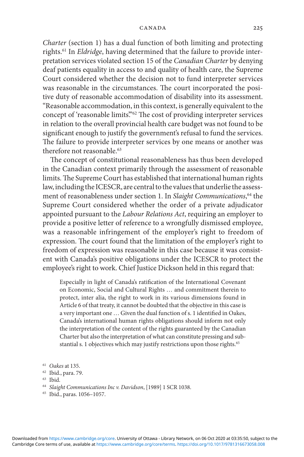*Charter* (section 1) has a dual function of both limiting and protecting rights. 61 In *Eldridge* , having determined that the failure to provide interpretation services violated section 15 of the *Canadian Charter* by denying deaf patients equality in access to and quality of health care, the Supreme Court considered whether the decision not to fund interpreter services was reasonable in the circumstances. The court incorporated the positive duty of reasonable accommodation of disability into its assessment. "Reasonable accommodation, in this context, is generally equivalent to the concept of 'reasonable limits."<sup>62</sup> The cost of providing interpreter services in relation to the overall provincial health care budget was not found to be significant enough to justify the government's refusal to fund the services. The failure to provide interpreter services by one means or another was therefore not reasonable.<sup>63</sup>

The concept of constitutional reasonableness has thus been developed in the Canadian context primarily through the assessment of reasonable limits. The Supreme Court has established that international human rights law, including the ICESCR , are central to the values that underlie the assessment of reasonableness under section 1. In *Slaight Communications* , 64 the Supreme Court considered whether the order of a private adjudicator appointed pursuant to the *Labour Relations Act* , requiring an employer to provide a positive letter of reference to a wrongfully dismissed employee, was a reasonable infringement of the employer's right to freedom of expression. The court found that the limitation of the employer's right to freedom of expression was reasonable in this case because it was consistent with Canada's positive obligations under the ICESCR to protect the employee's right to work. Chief Justice Dickson held in this regard that:

Especially in light of Canada's ratification of the International Covenant on Economic, Social and Cultural Rights … and commitment therein to protect, inter alia, the right to work in its various dimensions found in Article 6 of that treaty, it cannot be doubted that the objective in this case is a very important one ... Given the dual function of s. 1 identified in Oakes, Canada's international human rights obligations should inform not only the interpretation of the content of the rights guaranteed by the Canadian Charter but also the interpretation of what can constitute pressing and substantial s. 1 objectives which may justify restrictions upon those rights. 65

<sup>61</sup>*Oakes* at 135. 62 Ibid ., para. 79.

 $63$  Ibid.

<sup>64</sup>*Slaight Communications Inc v. Davidson* , [1989] 1 SCR 1038. 65 Ibid ., paras. 1056– 1057.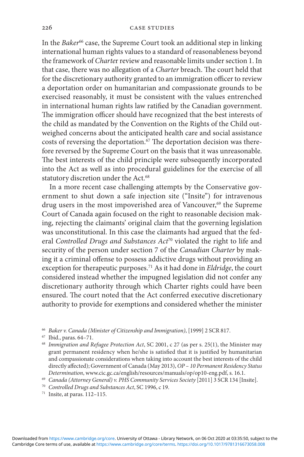In the *Baker*<sup>66</sup> case, the Supreme Court took an additional step in linking international human rights values to a standard of reasonableness beyond the framework of *Charter* review and reasonable limits under section 1. In that case, there was no allegation of a *Charter* breach. The court held that for the discretionary authority granted to an immigration officer to review a deportation order on humanitarian and compassionate grounds to be exercised reasonably, it must be consistent with the values entrenched in international human rights law ratified by the Canadian government. The immigration officer should have recognized that the best interests of the child as mandated by the Convention on the Rights of the Child outweighed concerns about the anticipated health care and social assistance costs of reversing the deportation.<sup>67</sup> The deportation decision was therefore reversed by the Supreme Court on the basis that it was unreasonable. The best interests of the child principle were subsequently incorporated into the Act as well as into procedural guidelines for the exercise of all statutory discretion under the Act.<sup>68</sup>

 In a more recent case challenging attempts by the Conservative government to shut down a safe injection site ("Insite") for intravenous drug users in the most impoverished area of Vancouver,<sup>69</sup> the Supreme Court of Canada again focused on the right to reasonable decision making, rejecting the claimants' original claim that the governing legislation was unconstitutional. In this case the claimants had argued that the federal *Controlled Drugs and Substances Act<sup>70</sup>* violated the right to life and security of the person under section 7 of the *Canadian Charter* by making it a criminal offense to possess addictive drugs without providing an exception for therapeutic purposes.<sup>71</sup> As it had done in *Eldridge*, the court considered instead whether the impugned legislation did not confer any discretionary authority through which Charter rights could have been ensured. The court noted that the Act conferred executive discretionary authority to provide for exemptions and considered whether the minister

<sup>&</sup>lt;sup>66</sup> Baker v. Canada (Minister of Citizenship and Immigration), [1999] 2 SCR 817.<br><sup>67</sup> Ibid., paras. 64–71.

<sup>&</sup>lt;sup>68</sup> Immigration and Refugee Protection Act, SC 2001, c 27 (as per s. 25(1), the Minister may grant permanent residency when he/she is satisfied that it is justified by humanitarian and compassionate considerations when taking into account the best interests of the child directly affected); Government of Canada (May 2013), OP - 10 Permanent Residency Status Determination, www.cic.gc.ca/english/resources/manuals/op/op10-eng.pdf, s. 16.1.<br>
<sup>69</sup> Canada (Attorney General) v. PHS Community Services Society [2011] 3 SCR 134 [Insite].<br>
<sup>70</sup> Controlled Drugs and Substances Act, SC 19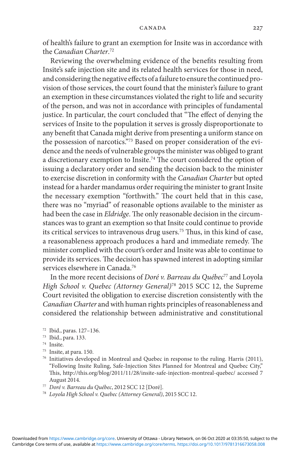of health's failure to grant an exemption for Insite was in accordance with the *Canadian Charter*.<sup>72</sup>

Reviewing the overwhelming evidence of the benefits resulting from Insite's safe injection site and its related health services for those in need, and considering the negative effects of a failure to ensure the continued provision of those services, the court found that the minister's failure to grant an exemption in these circumstances violated the right to life and security of the person, and was not in accordance with principles of fundamental justice. In particular, the court concluded that "The effect of denying the services of Insite to the population it serves is grossly disproportionate to any benefit that Canada might derive from presenting a uniform stance on the possession of narcotics."<sup>73</sup> Based on proper consideration of the evidence and the needs of vulnerable groups the minister was obliged to grant a discretionary exemption to Insite.<sup>74</sup> The court considered the option of issuing a declaratory order and sending the decision back to the minister to exercise discretion in conformity with the *Canadian Charter* but opted instead for a harder mandamus order requiring the minister to grant Insite the necessary exemption "forthwith." The court held that in this case, there was no "myriad" of reasonable options available to the minister as had been the case in *Eldridge*. The only reasonable decision in the circumstances was to grant an exemption so that Insite could continue to provide its critical services to intravenous drug users.<sup>75</sup> Thus, in this kind of case, a reasonableness approach produces a hard and immediate remedy. The minister complied with the court's order and Insite was able to continue to provide its services. The decision has spawned interest in adopting similar services elsewhere in Canada.<sup>76</sup>

 In the more recent decisions of *Doré v. Barreau du Québec* 77 and Loyola *High School v. Quebec (Attorney General)*<sup>78</sup> 2015 SCC 12, the Supreme Court revisited the obligation to exercise discretion consistently with the *Canadian Charter* and with human rights principles of reasonableness and considered the relationship between administrative and constitutional

- 72 Ibid., paras. 127-136.
- 73 Ibid., para. 133.
- <sup>74</sup> Insite.
- <sup>75</sup> Insite, at para. 150.
- <sup>76</sup> Initiatives developed in Montreal and Quebec in response to the ruling. Harris (2011), "Following Insite Ruling, Safe- Injection Sites Planned for Montreal and Quebec City," This, http://this.org/blog/2011/11/28/insite-safe-injection-montreal-quebec/ accessed 7 August 2014. 77 *Doré v. Barreau du Québec* , 2012 SCC 12 [Doré]. 78 *Loyola High School v. Quebec (Attorney General)* , 2015 SCC 12.
- 
-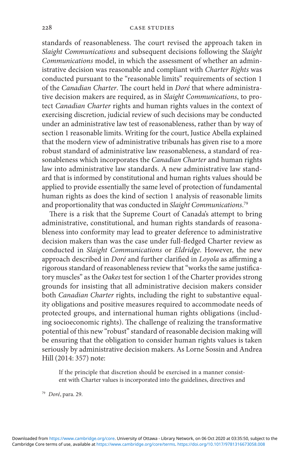#### 228 CASE STUDIES

standards of reasonableness. The court revised the approach taken in *Slaight Communications* and subsequent decisions following the *Slaight Communications* model, in which the assessment of whether an administrative decision was reasonable and compliant with *Charter Rights* was conducted pursuant to the "reasonable limits" requirements of section 1 of the *Canadian Charter*. The court held in *Doré* that where administrative decision makers are required, as in *Slaight Communications* , to protect *Canadian Charter* rights and human rights values in the context of exercising discretion, judicial review of such decisions may be conducted under an administrative law test of reasonableness, rather than by way of section 1 reasonable limits. Writing for the court, Justice Abella explained that the modern view of administrative tribunals has given rise to a more robust standard of administrative law reasonableness, a standard of reasonableness which incorporates the *Canadian Charter* and human rights law into administrative law standards. A new administrative law standard that is informed by constitutional and human rights values should be applied to provide essentially the same level of protection of fundamental human rights as does the kind of section 1 analysis of reasonable limits and proportionality that was conducted in *Slaight Communications* . 79

There is a risk that the Supreme Court of Canada's attempt to bring administrative, constitutional, and human rights standards of reasonableness into conformity may lead to greater deference to administrative decision makers than was the case under full-fledged Charter review as conducted in *Slaight Communications* or *Eldridge* . However, the new approach described in *Doré* and further clarified in *Loyola* as affirming a rigorous standard of reasonableness review that "works the same justificatory muscles" as the *Oakes* test for section 1 of the Charter provides strong grounds for insisting that all administrative decision makers consider both *Canadian Charter* rights, including the right to substantive equality obligations and positive measures required to accommodate needs of protected groups, and international human rights obligations (including socioeconomic rights). The challenge of realizing the transformative potential of this new "robust" standard of reasonable decision making will be ensuring that the obligation to consider human rights values is taken seriously by administrative decision makers. As Lorne Sossin and Andrea Hill (2014: 357) note:

 If the principle that discretion should be exercised in a manner consistent with Charter values is incorporated into the guidelines, directives and

<sup>79</sup>*Doré* , para. 29.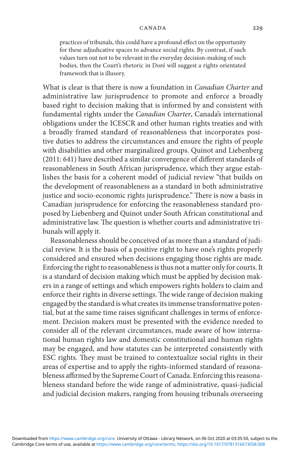practices of tribunals, this could have a profound effect on the opportunity for these adjudicative spaces to advance social rights. By contrast, if such values turn out not to be relevant in the everyday decision- making of such bodies, then the Court's rhetoric in Doré will suggest a rights orientated framework that is illusory.

 What is clear is that there is now a foundation in *Canadian Charter* and administrative law jurisprudence to promote and enforce a broadly based right to decision making that is informed by and consistent with fundamental rights under the *Canadian Charter* , Canada's international obligations under the ICESCR and other human rights treaties and with a broadly framed standard of reasonableness that incorporates positive duties to address the circumstances and ensure the rights of people with disabilities and other marginalized groups. Quinot and Liebenberg  $(2011: 641)$  have described a similar convergence of different standards of reasonableness in South African jurisprudence, which they argue establishes the basis for a coherent model of judicial review "that builds on the development of reasonableness as a standard in both administrative justice and socio-economic rights jurisprudence." There is now a basis in Canadian jurisprudence for enforcing the reasonableness standard proposed by Liebenberg and Quinot under South African constitutional and administrative law. The question is whether courts and administrative tribunals will apply it.

 Reasonableness should be conceived of as more than a standard of judicial review. It is the basis of a positive right to have one's rights properly considered and ensured when decisions engaging those rights are made. Enforcing the right to reasonableness is thus not a matter only for courts. It is a standard of decision making which must be applied by decision makers in a range of settings and which empowers rights holders to claim and enforce their rights in diverse settings. The wide range of decision making engaged by the standard is what creates its immense transformative potential, but at the same time raises significant challenges in terms of enforcement. Decision makers must be presented with the evidence needed to consider all of the relevant circumstances, made aware of how international human rights law and domestic constitutional and human rights may be engaged, and how statutes can be interpreted consistently with ESC rights. They must be trained to contextualize social rights in their areas of expertise and to apply the rights- informed standard of reasonableness affirmed by the Supreme Court of Canada. Enforcing this reasonableness standard before the wide range of administrative, quasi- judicial and judicial decision makers, ranging from housing tribunals overseeing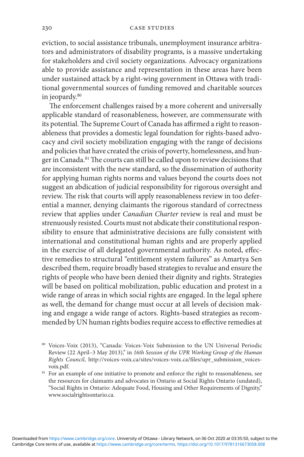eviction, to social assistance tribunals, unemployment insurance arbitrators and administrators of disability programs, is a massive undertaking for stakeholders and civil society organizations. Advocacy organizations able to provide assistance and representation in these areas have been under sustained attack by a right- wing government in Ottawa with traditional governmental sources of funding removed and charitable sources in jeopardy.<sup>80</sup>

The enforcement challenges raised by a more coherent and universally applicable standard of reasonableness, however, are commensurate with its potential. The Supreme Court of Canada has affirmed a right to reasonableness that provides a domestic legal foundation for rights- based advocacy and civil society mobilization engaging with the range of decisions and policies that have created the crisis of poverty, homelessness, and hunger in Canada.<sup>81</sup> The courts can still be called upon to review decisions that are inconsistent with the new standard, so the dissemination of authority for applying human rights norms and values beyond the courts does not suggest an abdication of judicial responsibility for rigorous oversight and review. The risk that courts will apply reasonableness review in too deferential a manner, denying claimants the rigorous standard of correctness review that applies under *Canadian Charter* review is real and must be strenuously resisted. Courts must not abdicate their constitutional responsibility to ensure that administrative decisions are fully consistent with international and constitutional human rights and are properly applied in the exercise of all delegated governmental authority. As noted, effective remedies to structural "entitlement system failures" as Amartya Sen described them, require broadly based strategies to revalue and ensure the rights of people who have been denied their dignity and rights. Strategies will be based on political mobilization, public education and protest in a wide range of areas in which social rights are engaged. In the legal sphere as well, the demand for change must occur at all levels of decision making and engage a wide range of actors. Rights- based strategies as recommended by UN human rights bodies require access to effective remedies at

<sup>80</sup> Voices- Voix ( 2013 ), "Canada: Voices- Voix Submission to the UN Universal Periodic Review (22 April–3 May 2013)," in *16th Session of the UPR Working Group of the Human Rights Council, http://voices-voix.ca/sites/voices-voix.ca/files/upr\_submission\_voices*voix.pdf. 81 For an example of one initiative to promote and enforce the right to reasonableness, see

the resources for claimants and advocates in Ontario at Social Rights Ontario (undated), "Social Rights in Ontario: Adequate Food, Housing and Other Requirements of Dignity," www.socialrightsontario.ca .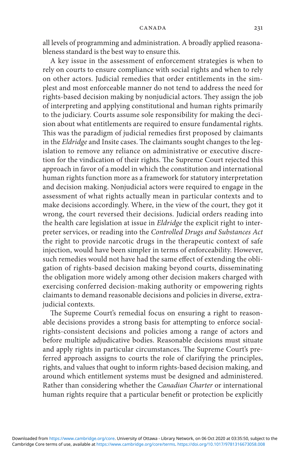all levels of programming and administration. A broadly applied reasonableness standard is the best way to ensure this.

 A key issue in the assessment of enforcement strategies is when to rely on courts to ensure compliance with social rights and when to rely on other actors. Judicial remedies that order entitlements in the simplest and most enforceable manner do not tend to address the need for rights-based decision making by nonjudicial actors. They assign the job of interpreting and applying constitutional and human rights primarily to the judiciary. Courts assume sole responsibility for making the decision about what entitlements are required to ensure fundamental rights. This was the paradigm of judicial remedies first proposed by claimants in the *Eldridge* and Insite cases. The claimants sought changes to the legislation to remove any reliance on administrative or executive discretion for the vindication of their rights. The Supreme Court rejected this approach in favor of a model in which the constitution and international human rights function more as a framework for statutory interpretation and decision making. Nonjudicial actors were required to engage in the assessment of what rights actually mean in particular contexts and to make decisions accordingly. Where, in the view of the court, they got it wrong, the court reversed their decisions. Judicial orders reading into the health care legislation at issue in *Eldridge* the explicit right to interpreter services, or reading into the *Controlled Drugs and Substances Act*  the right to provide narcotic drugs in the therapeutic context of safe injection, would have been simpler in terms of enforceability. However, such remedies would not have had the same effect of extending the obligation of rights- based decision making beyond courts, disseminating the obligation more widely among other decision makers charged with exercising conferred decision- making authority or empowering rights claimants to demand reasonable decisions and policies in diverse, extrajudicial contexts.

The Supreme Court's remedial focus on ensuring a right to reasonable decisions provides a strong basis for attempting to enforce socialrights- consistent decisions and policies among a range of actors and before multiple adjudicative bodies. Reasonable decisions must situate and apply rights in particular circumstances. The Supreme Court's preferred approach assigns to courts the role of clarifying the principles, rights, and values that ought to inform rights- based decision making, and around which entitlement systems must be designed and administered. Rather than considering whether the *Canadian Charter* or international human rights require that a particular benefit or protection be explicitly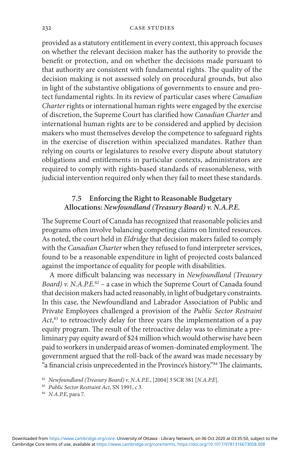provided as a statutory entitlement in every context, this approach focuses on whether the relevant decision maker has the authority to provide the benefit or protection, and on whether the decisions made pursuant to that authority are consistent with fundamental rights. The quality of the decision making is not assessed solely on procedural grounds, but also in light of the substantive obligations of governments to ensure and protect fundamental rights. In its review of particular cases where *Canadian Charter* rights or international human rights were engaged by the exercise of discretion, the Supreme Court has clarified how *Canadian Charter* and international human rights are to be considered and applied by decision makers who must themselves develop the competence to safeguard rights in the exercise of discretion within specialized mandates. Rather than relying on courts or legislatures to resolve every dispute about statutory obligations and entitlements in particular contexts, administrators are required to comply with rights-based standards of reasonableness, with judicial intervention required only when they fail to meet these standards.

## **7.5 Enforcing the Right to Reasonable Budgetary Allocations:** *Newfoundland (Treasury Board) v. N.A.P.E.*

The Supreme Court of Canada has recognized that reasonable policies and programs often involve balancing competing claims on limited resources. As noted, the court held in *Eldridge* that decision makers failed to comply with the *Canadian Charter* when they refused to fund interpreter services, found to be a reasonable expenditure in light of projected costs balanced against the importance of equality for people with disabilities .

A more difficult balancing was necessary in *Newfoundland (Treasury* Board) v. N.A.P.E.<sup>82</sup> - a case in which the Supreme Court of Canada found that decision makers had acted reasonably, in light of budgetary constraints. In this case, the Newfoundland and Labrador Association of Public and Private Employees challenged a provision of the *Public Sector Restraint*  Act,<sup>83</sup> to retroactively delay for three years the implementation of a pay equity program. The result of the retroactive delay was to eliminate a preliminary pay equity award of \$24 million which would otherwise have been paid to workers in underpaid areas of women-dominated employment. The government argued that the roll- back of the award was made necessary by "a financial crisis unprecedented in the Province's history."<sup>84</sup> The claimants,

<sup>82</sup>*Newfoundland (Treasury Board) v. N.A.P.E.* , [2004] 3 SCR 381 [ *N.A.P.E* ]. 83 *Public Sector Restraint Act* , SN 1991, c 3. 84 *N.A.P.E* , para 7.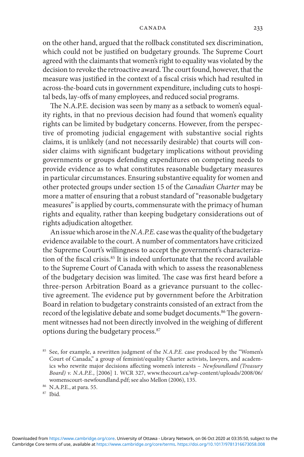on the other hand, argued that the rollback constituted sex discrimination, which could not be justified on budgetary grounds. The Supreme Court agreed with the claimants that women's right to equality was violated by the decision to revoke the retroactive award. The court found, however, that the measure was justified in the context of a fiscal crisis which had resulted in across- the- board cuts in government expenditure, including cuts to hospital beds, lay-offs of many employees, and reduced social programs.

The N.A.P.E. decision was seen by many as a setback to women's equality rights, in that no previous decision had found that women's equality rights can be limited by budgetary concerns. However, from the perspective of promoting judicial engagement with substantive social rights claims, it is unlikely (and not necessarily desirable) that courts will consider claims with significant budgetary implications without providing governments or groups defending expenditures on competing needs to provide evidence as to what constitutes reasonable budgetary measures in particular circumstances. Ensuring substantive equality for women and other protected groups under section 15 of the *Canadian Charter* may be more a matter of ensuring that a robust standard of "reasonable budgetary measures" is applied by courts, commensurate with the primacy of human rights and equality, rather than keeping budgetary considerations out of rights adjudication altogether.

 An issue which arose in the *N.A.P.E.* case was the quality of the budgetary evidence available to the court. A number of commentators have criticized the Supreme Court's willingness to accept the government's characterization of the fiscal crisis.<sup>85</sup> It is indeed unfortunate that the record available to the Supreme Court of Canada with which to assess the reasonableness of the budgetary decision was limited. The case was first heard before a three- person Arbitration Board as a grievance pursuant to the collective agreement. The evidence put by government before the Arbitration Board in relation to budgetary constraints consisted of an extract from the record of the legislative debate and some budget documents.<sup>86</sup> The government witnesses had not been directly involved in the weighing of different options during the budgetary process. 87

<sup>&</sup>lt;sup>85</sup> See, for example, a rewritten judgment of the *N.A.P.E.* case produced by the "Women's Court of Canada," a group of feminist/ equality Charter activists, lawyers, and academics who rewrite major decisions affecting women's interests - *Newfoundland (Treasury Board) v. N.A.P.E.*, [2006] 1. WCR 327, www.thecourt.ca/wp-content/uploads/2008/06/ womenscourt-newfoundland.pdf; see also Mellon (2006), 135.  $\,$  86 N.A.P.E., at para. 55.

<sup>87</sup> Ibid.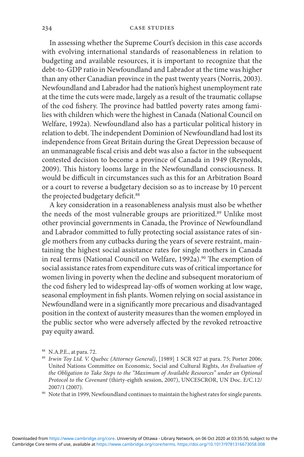In assessing whether the Supreme Court's decision in this case accords with evolving international standards of reasonableness in relation to budgeting and available resources, it is important to recognize that the debt- to- GDP ratio in Newfoundland and Labrador at the time was higher than any other Canadian province in the past twenty years (Norris, 2003 ). Newfoundland and Labrador had the nation's highest unemployment rate at the time the cuts were made, largely as a result of the traumatic collapse of the cod fishery. The province had battled poverty rates among families with children which were the highest in Canada (National Council on Welfare, 1992a). Newfoundland also has a particular political history in relation to debt. The independent Dominion of Newfoundland had lost its independence from Great Britain during the Great Depression because of an unmanageable fiscal crisis and debt was also a factor in the subsequent contested decision to become a province of Canada in 1949 (Reynolds, 2009). This history looms large in the Newfoundland consciousness. It would be difficult in circumstances such as this for an Arbitration Board or a court to reverse a budgetary decision so as to increase by 10 percent the projected budgetary deficit.<sup>88</sup>

 A key consideration in a reasonableness analysis must also be whether the needs of the most vulnerable groups are prioritized.<sup>89</sup> Unlike most other provincial governments in Canada, the Province of Newfoundland and Labrador committed to fully protecting social assistance rates of single mothers from any cutbacks during the years of severe restraint, maintaining the highest social assistance rates for single mothers in Canada in real terms (National Council on Welfare, 1992a).<sup>90</sup> The exemption of social assistance rates from expenditure cuts was of critical importance for women living in poverty when the decline and subsequent moratorium of the cod fishery led to widespread lay-offs of women working at low wage, seasonal employment in fish plants. Women relying on social assistance in Newfoundland were in a significantly more precarious and disadvantaged position in the context of austerity measures than the women employed in the public sector who were adversely affected by the revoked retroactive pay equity award.

<sup>88</sup> N.A.P.E. , at para. 72.

<sup>&</sup>lt;sup>89</sup> Irwin Toy Ltd. V. Quebec (Attorney General), [1989] 1 SCR 927 at para. 75; Porter 2006; United Nations Committee on Economic, Social and Cultural Rights , *An Evaluation of the Obligation to Take Steps to the "Maximum of Available Resources" under an Optional Protocol to the Covenant* (thirty-eighth session, 2007), UNCESCROR, UN Doc. E/C.12/ 2007/1 (2007). 2007/ 102007). Newfoundland continues to maintain the highest rates for single parents.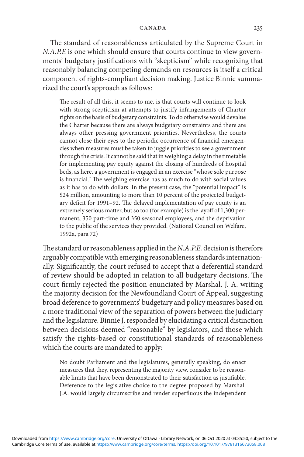The standard of reasonableness articulated by the Supreme Court in *N.A.P.E* is one which should ensure that courts continue to view governments' budgetary justifications with "skepticism" while recognizing that reasonably balancing competing demands on resources is itself a critical component of rights- compliant decision making. Justice Binnie summarized the court's approach as follows:

The result of all this, it seems to me, is that courts will continue to look with strong scepticism at attempts to justify infringements of Charter rights on the basis of budgetary constraints. To do otherwise would devalue the Charter because there are always budgetary constraints and there are always other pressing government priorities. Nevertheless, the courts cannot close their eyes to the periodic occurrence of financial emergencies when measures must be taken to juggle priorities to see a government through the crisis. It cannot be said that in weighing a delay in the timetable for implementing pay equity against the closing of hundreds of hospital beds, as here, a government is engaged in an exercise "whose sole purpose is financial." The weighing exercise has as much to do with social values as it has to do with dollars. In the present case, the "potential impact" is \$24 million, amounting to more than 10 percent of the projected budgetary deficit for 1991-92. The delayed implementation of pay equity is an extremely serious matter, but so too (for example) is the layoff of 1,300 permanent, 350 part- time and 350 seasonal employees, and the deprivation to the public of the services they provided. (National Council on Welfare, 1992a, para 72)

The standard or reasonableness applied in the *N.A.P.E.* decision is therefore arguably compatible with emerging reasonableness standards internationally. Significantly, the court refused to accept that a deferential standard of review should be adopted in relation to all budgetary decisions. The court firmly rejected the position enunciated by Marshal, J. A. writing the majority decision for the Newfoundland Court of Appeal, suggesting broad deference to governments' budgetary and policy measures based on a more traditional view of the separation of powers between the judiciary and the legislature. Binnie J. responded by elucidating a critical distinction between decisions deemed "reasonable" by legislators, and those which satisfy the rights-based or constitutional standards of reasonableness which the courts are mandated to apply:

 No doubt Parliament and the legislatures, generally speaking, do enact measures that they, representing the majority view, consider to be reasonable limits that have been demonstrated to their satisfaction as justifiable. Deference to the legislative choice to the degree proposed by Marshall J.A. would largely circumscribe and render superfluous the independent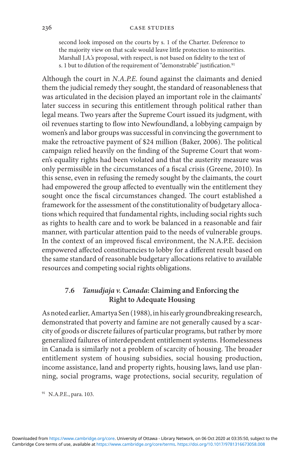#### 236 CASE STUDIES

second look imposed on the courts by s. 1 of the Charter. Deference to the majority view on that scale would leave little protection to minorities . Marshall J.A.'s proposal, with respect, is not based on fidelity to the text of s. 1 but to dilution of the requirement of "demonstrable" justification.<sup>91</sup>

 Although the court in *N.A.P.E.* found against the claimants and denied them the judicial remedy they sought, the standard of reasonableness that was articulated in the decision played an important role in the claimants' later success in securing this entitlement through political rather than legal means. Two years after the Supreme Court issued its judgment, with oil revenues starting to flow into Newfoundland, a lobbying campaign by women's and labor groups was successful in convincing the government to make the retroactive payment of \$24 million (Baker, 2006). The political campaign relied heavily on the finding of the Supreme Court that women's equality rights had been violated and that the austerity measure was only permissible in the circumstances of a fiscal crisis (Greene, 2010). In this sense, even in refusing the remedy sought by the claimants, the court had empowered the group affected to eventually win the entitlement they sought once the fiscal circumstances changed. The court established a framework for the assessment of the constitutionality of budgetary allocations which required that fundamental rights, including social rights such as rights to health care and to work be balanced in a reasonable and fair manner, with particular attention paid to the needs of vulnerable groups. In the context of an improved fiscal environment, the N.A.P.E. decision empowered affected constituencies to lobby for a different result based on the same standard of reasonable budgetary allocations relative to available resources and competing social rights obligations.

## **7.6** *Tanudjaja v. Canada* **: Claiming and Enforcing the Right to Adequate Housing**

As noted earlier, Amartya Sen (1988), in his early groundbreaking research, demonstrated that poverty and famine are not generally caused by a scarcity of goods or discrete failures of particular programs, but rather by more generalized failures of interdependent entitlement systems. Homelessness in Canada is similarly not a problem of scarcity of housing. The broader entitlement system of housing subsidies, social housing production, income assistance, land and property rights, housing laws, land use planning, social programs, wage protections, social security, regulation of

91 N.A.P.E., para. 103.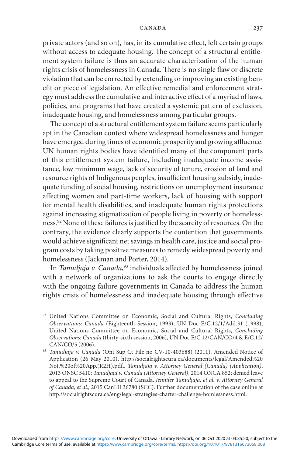private actors (and so on), has, in its cumulative effect, left certain groups without access to adequate housing. The concept of a structural entitlement system failure is thus an accurate characterization of the human rights crisis of homelessness in Canada. There is no single flaw or discrete violation that can be corrected by extending or improving an existing benefit or piece of legislation. An effective remedial and enforcement strategy must address the cumulative and interactive effect of a myriad of laws, policies, and programs that have created a systemic pattern of exclusion, inadequate housing, and homelessness among particular groups.

The concept of a structural entitlement system failure seems particularly apt in the Canadian context where widespread homelessness and hunger have emerged during times of economic prosperity and growing affluence. UN human rights bodies have identified many of the component parts of this entitlement system failure, including inadequate income assistance, low minimum wage, lack of security of tenure, erosion of land and resource rights of Indigenous peoples, insufficient housing subsidy, inadequate funding of social housing, restrictions on unemployment insurance affecting women and part-time workers, lack of housing with support for mental health disabilities, and inadequate human rights protections against increasing stigmatization of people living in poverty or homelessness.<sup>92</sup> None of these failures is justified by the scarcity of resources. On the contrary, the evidence clearly supports the contention that governments would achieve significant net savings in health care, justice and social program costs by taking positive measures to remedy widespread poverty and homelessness (Jackman and Porter, 2014).

In Tanudjaja v. Canada,<sup>93</sup> individuals affected by homelessness joined with a network of organizations to ask the courts to engage directly with the ongoing failure governments in Canada to address the human rights crisis of homelessness and inadequate housing through effective

<sup>&</sup>lt;sup>92</sup> United Nations Committee on Economic, Social and Cultural Rights, Concluding Observations: Canada (Eighteenth Session, 1993), UN Doc E/C.12/1/Add.31 (1998); United Nations Committee on Economic, Social and Cultural Rights, *Concluding Observations: Canada* (thirty-sixth session, 2006), UN Doc E/C.12/CAN/CO/4 & E/C.12/ CAN/ CO/ 5 (2006).<br><sup>93</sup> *Tanudjaja v. Canada* (Ont Sup Ct File no CV-10-403688) (2011). Amended Notice of

Application (26 May 2010), http://socialrightscura.ca/documents/legal/Amended%20 Not.%20of%20App.(R2H).pdf.. *Tanudjaja v. Attorney General (Canada) (Application)*, 2013 ONSC 5410 ; *Tanudjaja v. Canada (Attorney General)* , 2014 ONCA 852 ; denied leave to appeal to the Supreme Court of Canada, *Jennifer Tanudjaja, et al. v. Attorney General*  of Canada, et al., 2015 CanLII 36780 (SCC). Further documentation of the case online at http://socialrightscura.ca/eng/legal-strategies-charter-challenge-homlessness.html.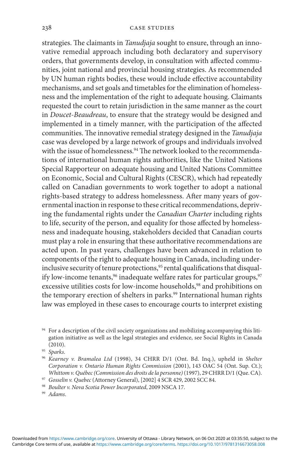strategies. The claimants in *Tanudjaja* sought to ensure, through an innovative remedial approach including both declaratory and supervisory orders, that governments develop, in consultation with affected communities, joint national and provincial housing strategies. As recommended by UN human rights bodies, these would include effective accountability mechanisms, and set goals and timetables for the elimination of homelessness and the implementation of the right to adequate housing. Claimants requested the court to retain jurisdiction in the same manner as the court in *Doucet- Beaudreau* , to ensure that the strategy would be designed and implemented in a timely manner, with the participation of the affected communities. The innovative remedial strategy designed in the *Tanudjaja* case was developed by a large network of groups and individuals involved with the issue of homelessness.<sup>94</sup> The network looked to the recommendations of international human rights authorities, like the United Nations Special Rapporteur on adequate housing and United Nations Committee on Economic, Social and Cultural Rights (CESCR), which had repeatedly called on Canadian governments to work together to adopt a national rights-based strategy to address homelessness. After many years of governmental inaction in response to these critical recommendations, depriving the fundamental rights under the *Canadian Charter* including rights to life, security of the person, and equality for those affected by homelessness and inadequate housing, stakeholders decided that Canadian courts must play a role in ensuring that these authoritative recommendations are acted upon. In past years, challenges have been advanced in relation to components of the right to adequate housing in Canada, including underinclusive security of tenure protections,<sup>95</sup> rental qualifications that disqualify low-income tenants,  $96$  inadequate welfare rates for particular groups,  $97$ excessive utilities costs for low-income households,<sup>98</sup> and prohibitions on the temporary erection of shelters in parks.<sup>99</sup> International human rights law was employed in these cases to encourage courts to interpret existing

<sup>&</sup>lt;sup>94</sup> For a description of the civil society organizations and mobilizing accompanying this litigation initiative as well as the legal strategies and evidence, see Social Rights in Canada ( 2010 ). 95 *Sparks* . 96 *Kearney v. Bramalea Ltd* (1998), 34 CHRR D/ 1 (Ont. Bd. Inq.), upheld in *Shelter* 

*Corporation v. Ontario Human Rights Commission* (2001), 143 OAC 54 (Ont. Sup. Ct.); Whittom v. Québec (Commission des droits de la personne) (1997), 29 CHRR D/1 (Que. CA).<br>
<sup>97</sup> Gosselin v. Quebec (Attorney General), [2002] 4 SCR 429, 2002 SCC 84.<br>
<sup>98</sup> Boulter v. Nova Scotia Power Incorporated, 2009 NSC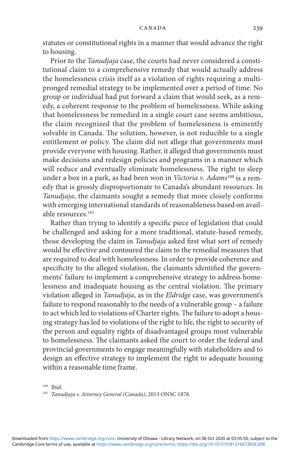statutes or constitutional rights in a manner that would advance the right to housing.

 Prior to the *Tanudjaja* case, the courts had never considered a constitutional claim to a comprehensive remedy that would actually address the homelessness crisis itself as a violation of rights requiring a multipronged remedial strategy to be implemented over a period of time. No group or individual had put forward a claim that would seek, as a remedy, a coherent response to the problem of homelessness. While asking that homelessness be remedied in a single court case seems ambitious, the claim recognized that the problem of homelessness is eminently solvable in Canada. The solution, however, is not reducible to a single entitlement or policy. The claim did not allege that governments must provide everyone with housing. Rather, it alleged that governments must make decisions and redesign policies and programs in a manner which will reduce and eventually eliminate homelessness. The right to sleep under a box in a park, as had been won in *Victoria v. Adams* 100 is a remedy that is grossly disproportionate to Canada's abundant resources. In *Tanudjaja* , the claimants sought a remedy that more closely conforms with emerging international standards of reasonableness based on available resources. 101

Rather than trying to identify a specific piece of legislation that could be challenged and asking for a more traditional, statute-based remedy, those developing the claim in *Tanudjaja* asked first what sort of remedy would be effective and contoured the claim to the remedial measures that are required to deal with homelessness. In order to provide coherence and specificity to the alleged violation, the claimants identified the governments' failure to implement a comprehensive strategy to address homelessness and inadequate housing as the central violation. The primary violation alleged in *Tanudjaja* , as in the *Eldridge* case, was government's failure to respond reasonably to the needs of a vulnerable group – a failure to act which led to violations of Charter rights. The failure to adopt a housing strategy has led to violations of the right to life, the right to security of the person and equality rights of disadvantaged groups most vulnerable to homelessness. The claimants asked the court to order the federal and provincial governments to engage meaningfully with stakeholders and to design an effective strategy to implement the right to adequate housing within a reasonable time frame.

<sup>100</sup> Ibid.<br><sup>101</sup> *Tanudjaja v. Attorney General (Canada)*, 2013 ONSC 1878.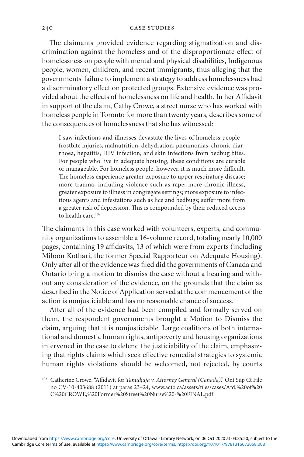#### 240 CASE STUDIES

The claimants provided evidence regarding stigmatization and discrimination against the homeless and of the disproportionate effect of homelessness on people with mental and physical disabilities, Indigenous people, women, children, and recent immigrants, thus alleging that the governments' failure to implement a strategy to address homelessness had a discriminatory effect on protected groups. Extensive evidence was provided about the effects of homelessness on life and health. In her Affidavit in support of the claim, Cathy Crowe, a street nurse who has worked with homeless people in Toronto for more than twenty years, describes some of the consequences of homelessness that she has witnessed:

 I saw infections and illnesses devastate the lives of homeless people – frostbite injuries, malnutrition, dehydration, pneumonias, chronic diarrhoea, hepatitis, HIV infection, and skin infections from bedbug bites. For people who live in adequate housing, these conditions are curable or manageable. For homeless people, however, it is much more difficult. The homeless experience greater exposure to upper respiratory disease; more trauma, including violence such as rape; more chronic illness, greater exposure to illness in congregate settings; more exposure to infectious agents and infestations such as lice and bedbugs; suffer more from a greater risk of depression. This is compounded by their reduced access to health care.<sup>102</sup>

The claimants in this case worked with volunteers, experts, and community organizations to assemble a 16- volume record, totaling nearly 10,000 pages, containing 19 affidavits, 13 of which were from experts (including Miloon Kothari, the former Special Rapporteur on Adequate Housing). Only after all of the evidence was filed did the governments of Canada and Ontario bring a motion to dismiss the case without a hearing and without any consideration of the evidence, on the grounds that the claim as described in the Notice of Application served at the commencement of the action is nonjusticiable and has no reasonable chance of success.

After all of the evidence had been compiled and formally served on them, the respondent governments brought a Motion to Dismiss the claim, arguing that it is nonjusticiable. Large coalitions of both international and domestic human rights, antipoverty and housing organizations intervened in the case to defend the justiciability of the claim, emphasizing that rights claims which seek effective remedial strategies to systemic human rights violations should be welcomed, not rejected, by courts

<sup>&</sup>lt;sup>102</sup> Catherine Crowe, "Affidavit for *Tanudjaja v. Attorney General (Canada)*," Ont Sup Ct File no CV-10-403688 (2011) at paras 23-24, www.acto.ca/assets/files/cases/Afd.%20of%20 C%20CROWE,%20Former%20Street%20Nurse%20- %20FINAL.pdf .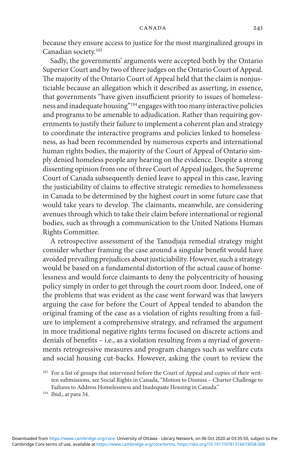because they ensure access to justice for the most marginalized groups in Canadian society.<sup>103</sup>

 Sadly, the governments' arguments were accepted both by the Ontario Superior Court and by two of three judges on the Ontario Court of Appeal. The majority of the Ontario Court of Appeal held that the claim is nonjusticiable because an allegation which it described as asserting, in essence, that governments "have given insufficient priority to issues of homelessness and inadequate housing"<sup>104</sup> engages with too many interactive policies and programs to be amenable to adjudication. Rather than requiring governments to justify their failure to implement a coherent plan and strategy to coordinate the interactive programs and policies linked to homelessness, as had been recommended by numerous experts and international human rights bodies, the majority of the Court of Appeal of Ontario simply denied homeless people any hearing on the evidence. Despite a strong dissenting opinion from one of three Court of Appeal judges, the Supreme Court of Canada subsequently denied leave to appeal in this case, leaving the justiciability of claims to effective strategic remedies to homelessness in Canada to be determined by the highest court in some future case that would take years to develop. The claimants, meanwhile, are considering avenues through which to take their claim before international or regional bodies, such as through a communication to the United Nations Human Rights Committee .

 A retrospective assessment of the Tanudjaja remedial strategy might consider whether framing the case around a singular benefit would have avoided prevailing prejudices about justiciability . However, such a strategy would be based on a fundamental distortion of the actual cause of homelessness and would force claimants to deny the polycentricity of housing policy simply in order to get through the court room door. Indeed, one of the problems that was evident as the case went forward was that lawyers arguing the case for before the Court of Appeal tended to abandon the original framing of the case as a violation of rights resulting from a failure to implement a comprehensive strategy, and reframed the argument in more traditional negative rights terms focused on discrete actions and denials of benefits  $-$  i.e., as a violation resulting from a myriad of governments retrogressive measures and program changes such as welfare cuts and social housing cut- backs. However, asking the court to review the

<sup>&</sup>lt;sup>103</sup> For a list of groups that intervened before the Court of Appeal and copies of their written submissions, see Social Rights in Canada, "Motion to Dismiss – Charter Challenge to Failures to Address Homelessness and Inadequate Housing in Canada." 104 Ibid., at para 34.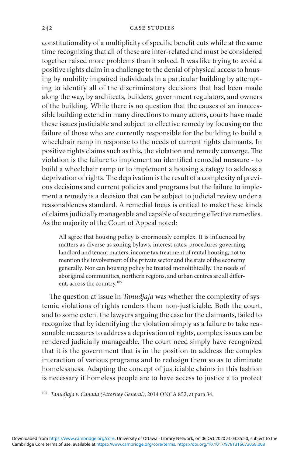constitutionality of a multiplicity of specific benefit cuts while at the same time recognizing that all of these are inter- related and must be considered together raised more problems than it solved. It was like trying to avoid a positive rights claim in a challenge to the denial of physical access to housing by mobility impaired individuals in a particular building by attempting to identify all of the discriminatory decisions that had been made along the way, by architects, builders, government regulators, and owners of the building. While there is no question that the causes of an inaccessible building extend in many directions to many actors, courts have made these issues justiciable and subject to effective remedy by focusing on the failure of those who are currently responsible for the building to build a wheelchair ramp in response to the needs of current rights claimants. In positive rights claims such as this, the violation and remedy converge. The violation is the failure to implement an identified remedial measure - to build a wheelchair ramp or to implement a housing strategy to address a deprivation of rights. The deprivation is the result of a complexity of previous decisions and current policies and programs but the failure to implement a remedy is a decision that can be subject to judicial review under a reasonableness standard. A remedial focus is critical to make these kinds of claims judicially manageable and capable of securing effective remedies. As the majority of the Court of Appeal noted:

All agree that housing policy is enormously complex. It is influenced by matters as diverse as zoning bylaws, interest rates, procedures governing landlord and tenant matters, income tax treatment of rental housing, not to mention the involvement of the private sector and the state of the economy generally. Nor can housing policy be treated monolithically. The needs of aboriginal communities, northern regions, and urban centres are all different, across the country. 105

The question at issue in *Tanudjaja* was whether the complexity of systemic violations of rights renders them non-justiciable. Both the court, and to some extent the lawyers arguing the case for the claimants, failed to recognize that by identifying the violation simply as a failure to take reasonable measures to address a deprivation of rights, complex issues can be rendered judicially manageable. The court need simply have recognized that it is the government that is in the position to address the complex interaction of various programs and to redesign them so as to eliminate homelessness. Adapting the concept of justiciable claims in this fashion is necessary if homeless people are to have access to justice a to protect

<sup>105</sup> Tanudjaja v. Canada (Attorney General), 2014 ONCA 852, at para 34.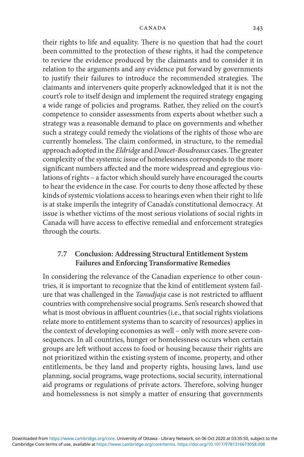their rights to life and equality. There is no question that had the court been committed to the protection of these rights, it had the competence to review the evidence produced by the claimants and to consider it in relation to the arguments and any evidence put forward by governments to justify their failures to introduce the recommended strategies. The claimants and interveners quite properly acknowledged that it is not the court's role to itself design and implement the required strategy engaging a wide range of policies and programs. Rather, they relied on the court's competence to consider assessments from experts about whether such a strategy was a reasonable demand to place on governments and whether such a strategy could remedy the violations of the rights of those who are currently homeless. The claim conformed, in structure, to the remedial approach adopted in the *Eldridge* and *Doucet-Boudreaux* cases. The greater complexity of the systemic issue of homelessness corresponds to the more significant numbers affected and the more widespread and egregious violations of rights – a factor which should surely have encouraged the courts to hear the evidence in the case. For courts to deny those affected by these kinds of systemic violations access to hearings even when their right to life is at stake imperils the integrity of Canada's constitutional democracy . At issue is whether victims of the most serious violations of social rights in Canada will have access to effective remedial and enforcement strategies through the courts.

## **7.7 Conclusion: Addressing Structural Entitlement System Failures and Enforcing Transformative Remedies**

 In considering the relevance of the Canadian experience to other countries, it is important to recognize that the kind of entitlement system failure that was challenged in the *Tanudjaja* case is not restricted to affluent countries with comprehensive social programs. Sen's research showed that what is most obvious in affluent countries (i.e., that social rights violations relate more to entitlement systems than to scarcity of resources) applies in the context of developing economies as well – only with more severe consequences. In all countries, hunger or homelessness occurs when certain groups are left without access to food or housing because their rights are not prioritized within the existing system of income, property, and other entitlements, be they land and property rights, housing laws, land use planning, social programs, wage protections, social security, international aid programs or regulations of private actors. Therefore, solving hunger and homelessness is not simply a matter of ensuring that governments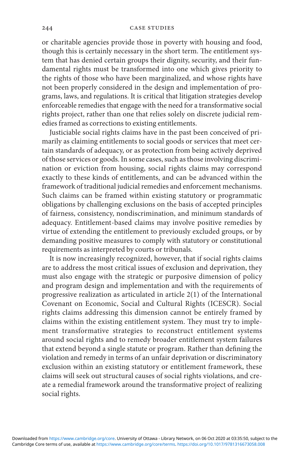#### 244 CASE STUDIES

or charitable agencies provide those in poverty with housing and food, though this is certainly necessary in the short term. The entitlement system that has denied certain groups their dignity, security, and their fundamental rights must be transformed into one which gives priority to the rights of those who have been marginalized, and whose rights have not been properly considered in the design and implementation of programs, laws, and regulations. It is critical that litigation strategies develop enforceable remedies that engage with the need for a transformative social rights project, rather than one that relies solely on discrete judicial remedies framed as corrections to existing entitlements.

 Justiciable social rights claims have in the past been conceived of primarily as claiming entitlements to social goods or services that meet certain standards of adequacy, or as protection from being actively deprived of those services or goods. In some cases, such as those involving discrimination or eviction from housing, social rights claims may correspond exactly to these kinds of entitlements, and can be advanced within the framework of traditional judicial remedies and enforcement mechanisms. Such claims can be framed within existing statutory or programmatic obligations by challenging exclusions on the basis of accepted principles of fairness, consistency, nondiscrimination, and minimum standards of adequacy. Entitlement-based claims may involve positive remedies by virtue of extending the entitlement to previously excluded groups, or by demanding positive measures to comply with statutory or constitutional requirements as interpreted by courts or tribunals.

 It is now increasingly recognized, however, that if social rights claims are to address the most critical issues of exclusion and deprivation, they must also engage with the strategic or purposive dimension of policy and program design and implementation and with the requirements of progressive realization as articulated in article 2(1) of the International Covenant on Economic, Social and Cultural Rights (ICESCR). Social rights claims addressing this dimension cannot be entirely framed by claims within the existing entitlement system. They must try to implement transformative strategies to reconstruct entitlement systems around social rights and to remedy broader entitlement system failures that extend beyond a single statute or program. Rather than defining the violation and remedy in terms of an unfair deprivation or discriminatory exclusion within an existing statutory or entitlement framework, these claims will seek out structural causes of social rights violations, and create a remedial framework around the transformative project of realizing social rights.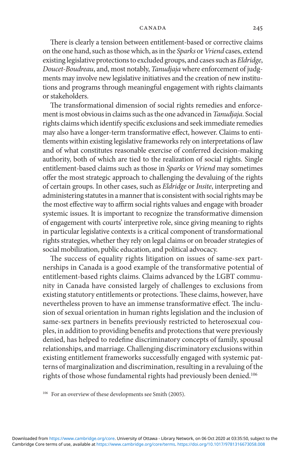There is clearly a tension between entitlement-based or corrective claims on the one hand, such as those which, as in the *Sparks* or *Vriend* cases, extend existing legislative protections to excluded groups, and cases such as *Eldridge* , *Doucet- Boudreau* , and, most notably, *Tanudjaja* where enforcement of judgments may involve new legislative initiatives and the creation of new institutions and programs through meaningful engagement with rights claimants or stakeholders.

The transformational dimension of social rights remedies and enforcement is most obvious in claims such as the one advanced in *Tanudjaja* . Social rights claims which identify specific exclusions and seek immediate remedies may also have a longer-term transformative effect, however. Claims to entitlements within existing legislative frameworks rely on interpretations of law and of what constitutes reasonable exercise of conferred decision- making authority, both of which are tied to the realization of social rights. Single entitlement- based claims such as those in *Sparks* or *Vriend* may sometimes offer the most strategic approach to challenging the devaluing of the rights of certain groups. In other cases, such as *Eldridge* or *Insite* , interpreting and administering statutes in a manner that is consistent with social rights may be the most effective way to affirm social rights values and engage with broader systemic issues. It is important to recognize the transformative dimension of engagement with courts' interpretive role, since giving meaning to rights in particular legislative contexts is a critical component of transformational rights strategies, whether they rely on legal claims or on broader strategies of social mobilization, public education, and political advocacy.

The success of equality rights litigation on issues of same-sex partnerships in Canada is a good example of the transformative potential of entitlement- based rights claims. Claims advanced by the LGBT community in Canada have consisted largely of challenges to exclusions from existing statutory entitlements or protections. These claims, however, have nevertheless proven to have an immense transformative effect. The inclusion of sexual orientation in human rights legislation and the inclusion of same-sex partners in benefits previously restricted to heterosexual couples, in addition to providing benefits and protections that were previously denied, has helped to redefine discriminatory concepts of family, spousal relationships, and marriage. Challenging discriminatory exclusions within existing entitlement frameworks successfully engaged with systemic patterns of marginalization and discrimination, resulting in a revaluing of the rights of those whose fundamental rights had previously been denied. 106

<sup>106</sup> For an overview of these developments see Smith (2005).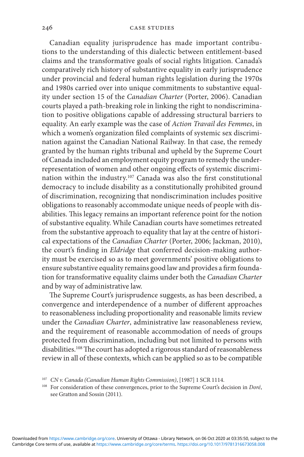Canadian equality jurisprudence has made important contributions to the understanding of this dialectic between entitlement- based claims and the transformative goals of social rights litigation. Canada's comparatively rich history of substantive equality in early jurisprudence under provincial and federal human rights legislation during the 1970s and 1980s carried over into unique commitments to substantive equality under section 15 of the *Canadian Charter* (Porter, 2006). Canadian courts played a path- breaking role in linking the right to nondiscrimination to positive obligations capable of addressing structural barriers to equality. An early example was the case of *Action Travail des Femmes* , in which a women's organization filed complaints of systemic sex discrimination against the Canadian National Railway. In that case, the remedy granted by the human rights tribunal and upheld by the Supreme Court of Canada included an employment equity program to remedy the underrepresentation of women and other ongoing effects of systemic discrimination within the industry.<sup>107</sup> Canada was also the first constitutional democracy to include disability as a constitutionally prohibited ground of discrimination, recognizing that nondiscrimination includes positive obligations to reasonably accommodate unique needs of people with disabilities. This legacy remains an important reference point for the notion of substantive equality. While Canadian courts have sometimes retreated from the substantive approach to equality that lay at the centre of historical expectations of the *Canadian Charter* (Porter, 2006; Jackman, 2010), the court's finding in *Eldridge* that conferred decision-making authority must be exercised so as to meet governments' positive obligations to ensure substantive equality remains good law and provides a firm foundation for transformative equality claims under both the *Canadian Charter*  and by way of administrative law.

The Supreme Court's jurisprudence suggests, as has been described, a convergence and interdependence of a number of different approaches to reasonableness including proportionality and reasonable limits review under the *Canadian Charter*, administrative law reasonableness review, and the requirement of reasonable accommodation of needs of groups protected from discrimination, including but not limited to persons with disabilities.<sup>108</sup> The court has adopted a rigorous standard of reasonableness review in all of these contexts, which can be applied so as to be compatible

<sup>&</sup>lt;sup>107</sup> CN v. Canada (Canadian Human Rights Commission), [1987] 1 SCR 1114.<br><sup>108</sup> For consideration of these convergences, prior to the Supreme Court's decision in *Doré*, see Gratton and Sossin (2011).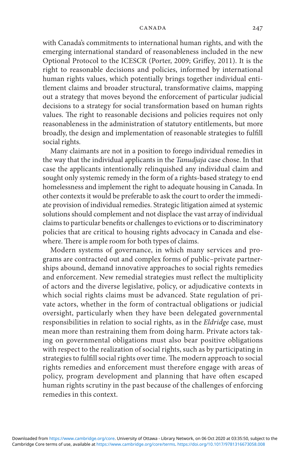with Canada's commitments to international human rights, and with the emerging international standard of reasonableness included in the new Optional Protocol to the ICESCR (Porter, 2009; Griffey, 2011). It is the right to reasonable decisions and policies, informed by international human rights values, which potentially brings together individual entitlement claims and broader structural, transformative claims, mapping out a strategy that moves beyond the enforcement of particular judicial decisions to a strategy for social transformation based on human rights values. The right to reasonable decisions and policies requires not only reasonableness in the administration of statutory entitlements, but more broadly, the design and implementation of reasonable strategies to fulfill social rights.

 Many claimants are not in a position to forego individual remedies in the way that the individual applicants in the *Tanudjaja* case chose. In that case the applicants intentionally relinquished any individual claim and sought only systemic remedy in the form of a rights- based strategy to end homelessness and implement the right to adequate housing in Canada. In other contexts it would be preferable to ask the court to order the immediate provision of individual remedies. Strategic litigation aimed at systemic solutions should complement and not displace the vast array of individual claims to particular benefits or challenges to evictions or to discriminatory policies that are critical to housing rights advocacy in Canada and elsewhere. There is ample room for both types of claims.

Modern systems of governance, in which many services and programs are contracted out and complex forms of public– private partnerships abound, demand innovative approaches to social rights remedies and enforcement. New remedial strategies must reflect the multiplicity of actors and the diverse legislative, policy, or adjudicative contexts in which social rights claims must be advanced. State regulation of private actors, whether in the form of contractual obligations or judicial oversight, particularly when they have been delegated governmental responsibilities in relation to social rights, as in the *Eldridge* case, must mean more than restraining them from doing harm. Private actors taking on governmental obligations must also bear positive obligations with respect to the realization of social rights, such as by participating in strategies to fulfill social rights over time. The modern approach to social rights remedies and enforcement must therefore engage with areas of policy, program development and planning that have often escaped human rights scrutiny in the past because of the challenges of enforcing remedies in this context.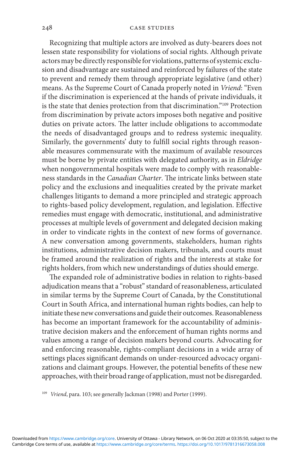Recognizing that multiple actors are involved as duty- bearers does not lessen state responsibility for violations of social rights. Although private actors may be directly responsible for violations, patterns of systemic exclusion and disadvantage are sustained and reinforced by failures of the state to prevent and remedy them through appropriate legislative (and other) means. As the Supreme Court of Canada properly noted in *Vriend* : "Even if the discrimination is experienced at the hands of private individuals, it is the state that denies protection from that discrimination." 109 Protection from discrimination by private actors imposes both negative and positive duties on private actors. The latter include obligations to accommodate the needs of disadvantaged groups and to redress systemic inequality. Similarly, the governments' duty to fulfill social rights through reasonable measures commensurate with the maximum of available resources must be borne by private entities with delegated authority, as in *Eldridge*  when nongovernmental hospitals were made to comply with reasonableness standards in the *Canadian Charter*. The intricate links between state policy and the exclusions and inequalities created by the private market challenges litigants to demand a more principled and strategic approach to rights-based policy development, regulation, and legislation. Effective remedies must engage with democratic, institutional, and administrative processes at multiple levels of government and delegated decision making in order to vindicate rights in the context of new forms of governance . A new conversation among governments, stakeholders, human rights institutions, administrative decision makers, tribunals, and courts must be framed around the realization of rights and the interests at stake for rights holders, from which new understandings of duties should emerge.

The expanded role of administrative bodies in relation to rights-based adjudication means that a "robust" standard of reasonableness, articulated in similar terms by the Supreme Court of Canada, by the Constitutional Court in South Africa, and international human rights bodies, can help to initiate these new conversations and guide their outcomes. Reasonableness has become an important framework for the accountability of administrative decision makers and the enforcement of human rights norms and values among a range of decision makers beyond courts. Advocating for and enforcing reasonable, rights-compliant decisions in a wide array of settings places significant demands on under-resourced advocacy organizations and claimant groups. However, the potential benefits of these new approaches, with their broad range of application, must not be disregarded.

<sup>109</sup> Vriend, para. 103; see generally Jackman (1998) and Porter (1999).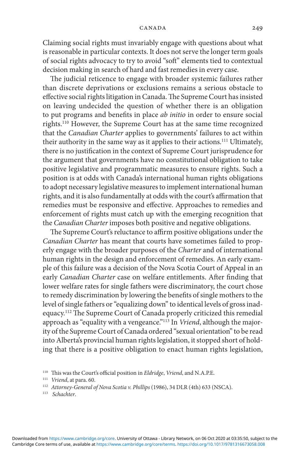Claiming social rights must invariably engage with questions about what is reasonable in particular contexts. It does not serve the longer term goals of social rights advocacy to try to avoid "soft" elements tied to contextual decision making in search of hard and fast remedies in every case.

The judicial reticence to engage with broader systemic failures rather than discrete deprivations or exclusions remains a serious obstacle to effective social rights litigation in Canada. The Supreme Court has insisted on leaving undecided the question of whether there is an obligation to put programs and benefits in place *ab initio* in order to ensure social rights. 110 However, the Supreme Court has at the same time recognized that the *Canadian Charter* applies to governments' failures to act within their authority in the same way as it applies to their actions. 111 Ultimately, there is no justification in the context of Supreme Court jurisprudence for the argument that governments have no constitutional obligation to take positive legislative and programmatic measures to ensure rights. Such a position is at odds with Canada's international human rights obligations to adopt necessary legislative measures to implement international human rights, and it is also fundamentally at odds with the court's affirmation that remedies must be responsive and effective. Approaches to remedies and enforcement of rights must catch up with the emerging recognition that the *Canadian Charter* imposes both positive and negative obligations.

The Supreme Court's reluctance to affirm positive obligations under the *Canadian Charter* has meant that courts have sometimes failed to properly engage with the broader purposes of the *Charter* and of international human rights in the design and enforcement of remedies. An early example of this failure was a decision of the Nova Scotia Court of Appeal in an early *Canadian Charter* case on welfare entitlements. After finding that lower welfare rates for single fathers were discriminatory, the court chose to remedy discrimination by lowering the benefits of single mothers to the level of single fathers or "equalizing down" to identical levels of gross inadequacy.<sup>112</sup> The Supreme Court of Canada properly criticized this remedial approach as "equality with a vengeance."<sup>113</sup> In *Vriend*, although the majority of the Supreme Court of Canada ordered "sexual orientation" to be read into Alberta's provincial human rights legislation, it stopped short of holding that there is a positive obligation to enact human rights legislation,

<sup>&</sup>lt;sup>110</sup> This was the Court's official position in *Eldridge*, *Vriend*, and N.A.P.E.<br><sup>111</sup> *Vriend*, at para. 60.<br><sup>112</sup> *Attorney-General of Nova Scotia v. Phillips* (1986), 34 DLR (4th) 633 (NSCA).<br><sup>113</sup> *Schachter*.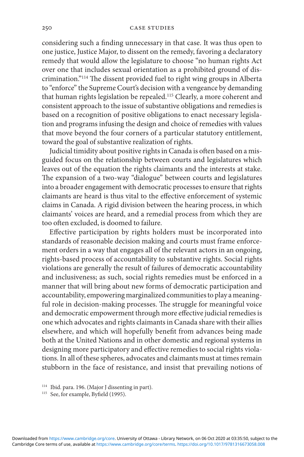considering such a finding unnecessary in that case. It was thus open to one justice, Justice Major, to dissent on the remedy, favoring a declaratory remedy that would allow the legislature to choose "no human rights Act over one that includes sexual orientation as a prohibited ground of discrimination."<sup>114</sup> The dissent provided fuel to right wing groups in Alberta to "enforce" the Supreme Court's decision with a vengeance by demanding that human rights legislation be repealed.<sup>115</sup> Clearly, a more coherent and consistent approach to the issue of substantive obligations and remedies is based on a recognition of positive obligations to enact necessary legislation and programs infusing the design and choice of remedies with values that move beyond the four corners of a particular statutory entitlement, toward the goal of substantive realization of rights.

Judicial timidity about positive rights in Canada is often based on a misguided focus on the relationship between courts and legislatures which leaves out of the equation the rights claimants and the interests at stake. The expansion of a two-way "dialogue" between courts and legislatures into a broader engagement with democratic processes to ensure that rights claimants are heard is thus vital to the effective enforcement of systemic claims in Canada. A rigid division between the hearing process, in which claimants' voices are heard, and a remedial process from which they are too often excluded, is doomed to failure.

Effective participation by rights holders must be incorporated into standards of reasonable decision making and courts must frame enforcement orders in a way that engages all of the relevant actors in an ongoing, rights- based process of accountability to substantive rights. Social rights violations are generally the result of failures of democratic accountability and inclusiveness; as such, social rights remedies must be enforced in a manner that will bring about new forms of democratic participation and accountability, empowering marginalized communities to play a meaningful role in decision-making processes. The struggle for meaningful voice and democratic empowerment through more effective judicial remedies is one which advocates and rights claimants in Canada share with their allies elsewhere, and which will hopefully benefit from advances being made both at the United Nations and in other domestic and regional systems in designing more participatory and effective remedies to social rights violations. In all of these spheres, advocates and claimants must at times remain stubborn in the face of resistance, and insist that prevailing notions of

<sup>&</sup>lt;sup>114</sup> Ibid. para. 196. (Major J dissenting in part).<br><sup>115</sup> See, for example, Byfield (1995).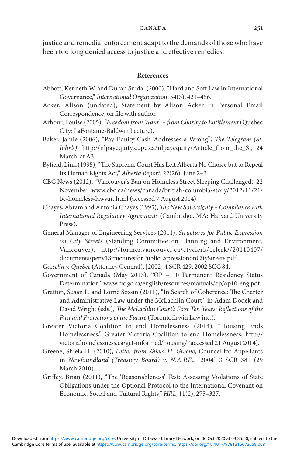justice and remedial enforcement adapt to the demands of those who have been too long denied access to justice and effective remedies.

### **References**

- Abbott, Kenneth W. and Ducan Snidal (2000), "Hard and Soft Law in International Governance," *International Organization*, 54(3), 421-456.
- Acker, Alison (undated), Statement by Alison Acker in Personal Email Correspondence, on file with author.
- Arbour, Louise (2005), "Freedom from Want" from Charity to Entitlement (Quebec City: LaFontaine-Baldwin Lecture).
- Baker, Jamie (2006), "Pay Equity Cash 'Addresses a Wrong", *The Telegram (St. John's*), http://nlpayequity.cupe.ca/nlpayequity/Article\_from\_the\_St, 24 March, at A3.
- Byfield, Link (1995), "The Supreme Court Has Left Alberta No Choice but to Repeal Its Human Rights Act," *Alberta Report*, 22(26), June 2-3.
- CBC News (2012), "Vancouver's Ban on Homeless Street Sleeping Challenged," 22 November www.cbc.ca/news/canada/british-columbia/story/2012/11/21/ bc- homeless- lawsuit.html (accessed 7 August 2014).
- Chayes, Abram and Antonia Chayes (1995), *The New Sovereignty Compliance with International Regulatory Agreements* ( Cambridge, MA : Harvard University Press).
- General Manager of Engineering Services ( 2011 ), *Structures for Public Expression on City Streets* (Standing Committee on Planning and Environment, Vancouver), http:// former.vancouver.ca/ ctyclerk/ cclerk// 20110407/ documents/penv1StructuresforPublicExpressiononCityStreets.pdf.

*Gosselin v. Quebec* (Attorney General), [ 2002 ] 4 SCR 429, 2002 SCC 84.

- Government of Canada (May 2013), "OP 10 Permanent Residency Status Determination," www.cic.gc.ca/english/resources/manuals/op/op10-eng.pdf.
- Gratton, Susan L. and Lorne Sossin (2011), "In Search of Coherence: The Charter and Administrative Law under the McLachlin Court," in Adam Dodek and David Wright (eds.), *The McLachlin Court's First Ten Years: Reflections of the* Past and Projections of the Future (Toronto: Irwin Law inc.).
- Greater Victoria Coalition to end Homelessness (2014), "Housing Ends Homelessness," Greater Victoria Coalition to end Homelessness, http:// victoriahomelessness.ca/get-informed/housing/ (accessed 21 August 2014).
- Greene, Shiela H. (2010), *Letter from Shiela H. Greene*, Counsel for Appellants in *Newfoundland (Treasury Board) v. N.A.P.E.*, [2004] 3 SCR 381 (29 March 2010).
- Griffey, Brian (2011), "The 'Reasonableness' Test: Assessing Violations of State Obligations under the Optional Protocol to the International Covenant on Economic, Social and Cultural Rights," *HRL*, 11(2), 275-327.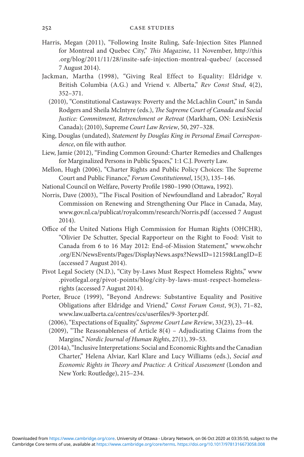- Harris, Megan (2011), "Following Insite Ruling, Safe-Injection Sites Planned for Montreal and Quebec City," *This Magazine*, 11 November, http://this .org/ blog/ 2011/ 11/ 28/ insite- safe- injection- montreal- quebec/ (accessed 7 August 2014).
- Jackman, Martha (1998), "Giving Real Effect to Equality: Eldridge v. British Columbia (A.G.) and Vriend v. Alberta," *Rev Const Stud*, 4(2), 352 – 371 .
	- (2010), "Constitutional Castaways: Poverty and the McLachlin Court," in Sanda Rodgers and Sheila McIntyre (eds.), *The Supreme Court of Canada and Social Justice: Commitment, Retrenchment or Retreat (Markham, ON: LexisNexis* Canada ); (2010), Supreme *Court Law Review* , 50, 297– 328.
- King, Douglas (undated), Statement by Douglas King in Personal Email Correspon*dence*, on file with author.
- Liew, Jamie (2012), "Finding Common Ground: Charter Remedies and Challenges for Marginalized Persons in Public Spaces," 1:1 C.J. Poverty Law.
- Mellon, Hugh (2006), "Charter Rights and Public Policy Choices: The Supreme Court and Public Finance," *Forum Constitutionnel*, 15(3), 135-146.
- National Council on Welfare, Poverty Profile 1980-1990 (Ottawa, 1992).
- Norris, Dave (2003), "The Fiscal Position of Newfoundland and Labrador," Royal Commission on Renewing and Strengthening Our Place in Canada, May, www.gov.nl.ca/publicat/royalcomm/research/Norris.pdf (accessed 7 August 2014).
- Office of the United Nations High Commission for Human Rights (OHCHR), "Olivier De Schutter, Special Rapporteur on the Right to Food: Visit to Canada from 6 to 16 May 2012: End-of-Mission Statement," www.ohchr .org/ EN/ NewsEvents/ Pages/ DisplayNews.aspx?NewsID=12159&LangID=E (accessed 7 August 2014) .
- Pivot Legal Society (N.D.), "City by-Laws Must Respect Homeless Rights," www .pivotlegal.org/ pivot- points/ blog/ city- by- laws- must- respect- homelessrights (accessed 7 August 2014) .
- Porter, Bruce (1999), "Beyond Andrews: Substantive Equality and Positive Obligations after Eldridge and Vriend," *Const Forum Const*, 9(3), 71–82, www.law.ualberta.ca/centres/ccs/userfiles/9-3porter.pdf.
	- ( 2006), "Expectations of Equality," Supreme Court Law Review, 33(23), 23-44.
	- (2009), "The Reasonableness of Article  $8(4)$  Adjudicating Claims from the Margins," *Nordic Journal of Human Rights*, 27(1), 39-53.
	- ( 2014a ), " Inclusive Interpretations: Social and Economic Rights and the Canadian Charter," Helena Alviar, Karl Klare and Lucy Williams (eds.), *Social and Economic Rights in Theory and Practice: A Critical Assessment (London and* New York: Routledge), 215-234.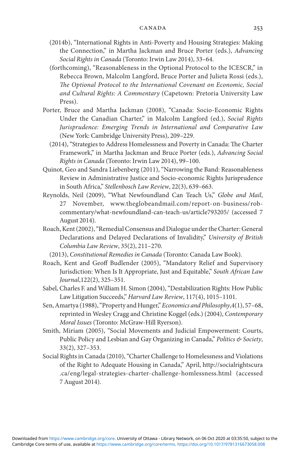- (2014b), "International Rights in Anti-Poverty and Housing Strategies: Making the Connection," in Martha Jackman and Bruce Porter (eds.), *Advancing* Social Rights in Canada (Toronto: Irwin Law 2014), 33-64.
- (forthcoming), " Reasonableness in the Optional Protocol to the ICESCR ," in Rebecca Brown, Malcolm Langford, Bruce Porter and Julieta Rossi (eds.), The Optional Protocol to the International Covenant on Economic, Social and Cultural Rights: A Commentary (Capetown: Pretoria University Law Press).
- Porter, Bruce and Martha Jackman (2008), "Canada: Socio-Economic Rights Under the Canadian Charter," in Malcolm Langford (ed.), *Social Rights Jurisprudence: Emerging Trends in International and Comparative Law*  (New York: Cambridge University Press), 209-229.
	- (2014), "Strategies to Address Homelessness and Poverty in Canada: The Charter Framework," in Martha Jackman and Bruce Porter (eds.), *Advancing Social Rights in Canada* (Toronto: Irwin Law 2014), 99-100.
- Quinot, Geo and Sandra Liebenberg (2011), "Narrowing the Band: Reasonableness Review in Administrative Justice and Socio- economic Rights Jurisprudence in South Africa," *Stellenbosch Law Review*, 22(3), 639-663.
- Reynolds, Neil (2009), "What Newfoundland Can Teach Us," Globe and Mail, 27 November, www.theglobeandmail.com/ report- on- business/ rob commentary/what- newfoundland- can- teach- us/ article793205/ (accessed 7 August 2014).
- Roach, Kent (2002), "Remedial Consensus and Dialogue under the Charter: General Declarations and Delayed Declarations of Invalidity," University of British *Columbia Law Review*, 35(2), 211-270.
- ( 2013 ), *Constitutional Remedies in Canada* ( Toronto : Canada Law Book ).
- Roach, Kent and Geoff Budlender (2005), "Mandatory Relief and Supervisory Jurisdiction: When Is It Appropriate, Just and Equitable," South African Law *Journal*, 122(2), 325-351.
- Sabel, Charles F. and William H. Simon (2004), "Destabilization Rights: How Public Law Litigation Succeeds," *Harvard Law Review*, 117(4), 1015-1101.
- Sen, Amartya (1988), "Property and Hunger," *Economics and Philosophy*, 4(1), 57–68, reprinted in Wesley Cragg and Christine Koggel (eds.) (2004), *Contemporary Moral Issues* (Toronto: McGraw- Hill Ryerson).
- Smith, Miriam (2005), "Social Movements and Judicial Empowerment: Courts, Public Policy and Lesbian and Gay Organizing in Canada," Politics & Society, 33(2), 327-353.
- Social Rights in Canada (2010), "Charter Challenge to Homelessness and Violations of the Right to Adequate Housing in Canada," April, http:// socialrightscura .ca/ eng/ legal- strategies- charter- challenge- homlessness.html (accessed 7 August 2014).